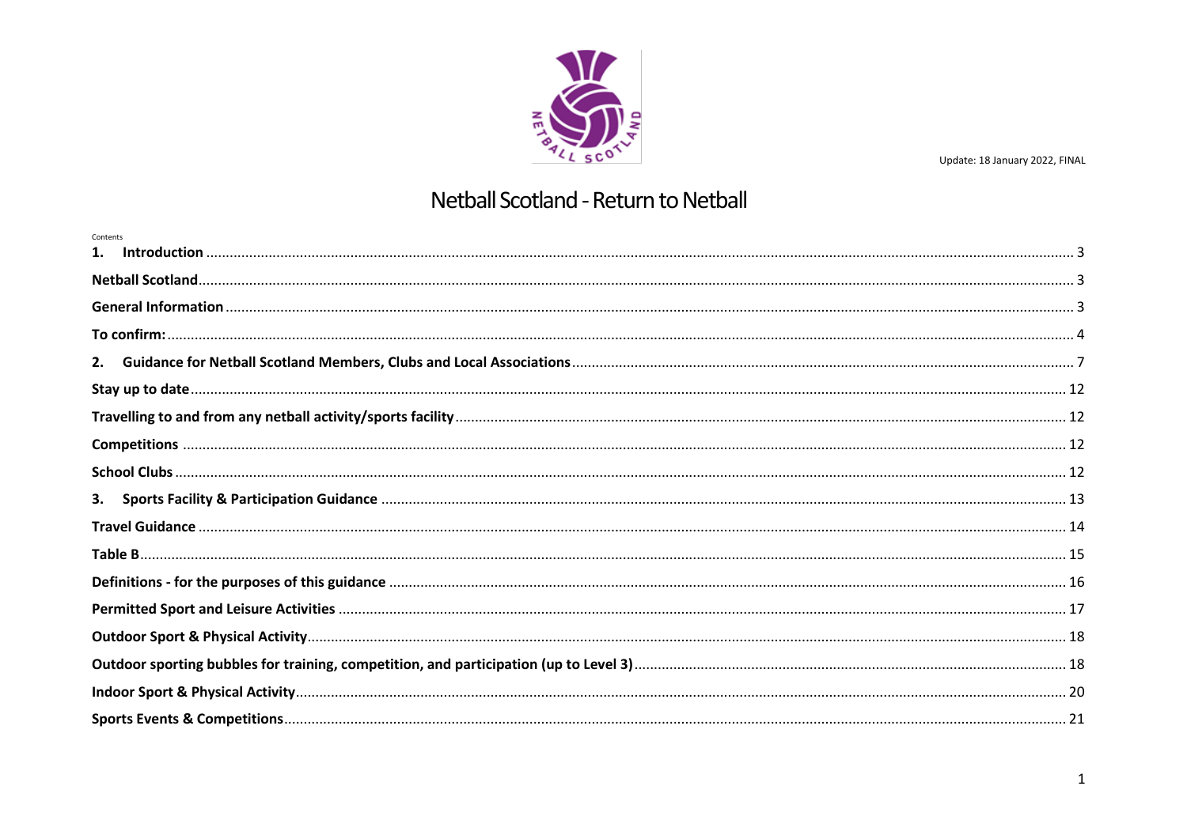

# Netball Scotland - Return to Netball

| Contents |  |
|----------|--|
|          |  |
|          |  |
|          |  |
|          |  |
|          |  |
|          |  |
|          |  |
|          |  |
| 3.       |  |
|          |  |
|          |  |
|          |  |
|          |  |
|          |  |
|          |  |
|          |  |
|          |  |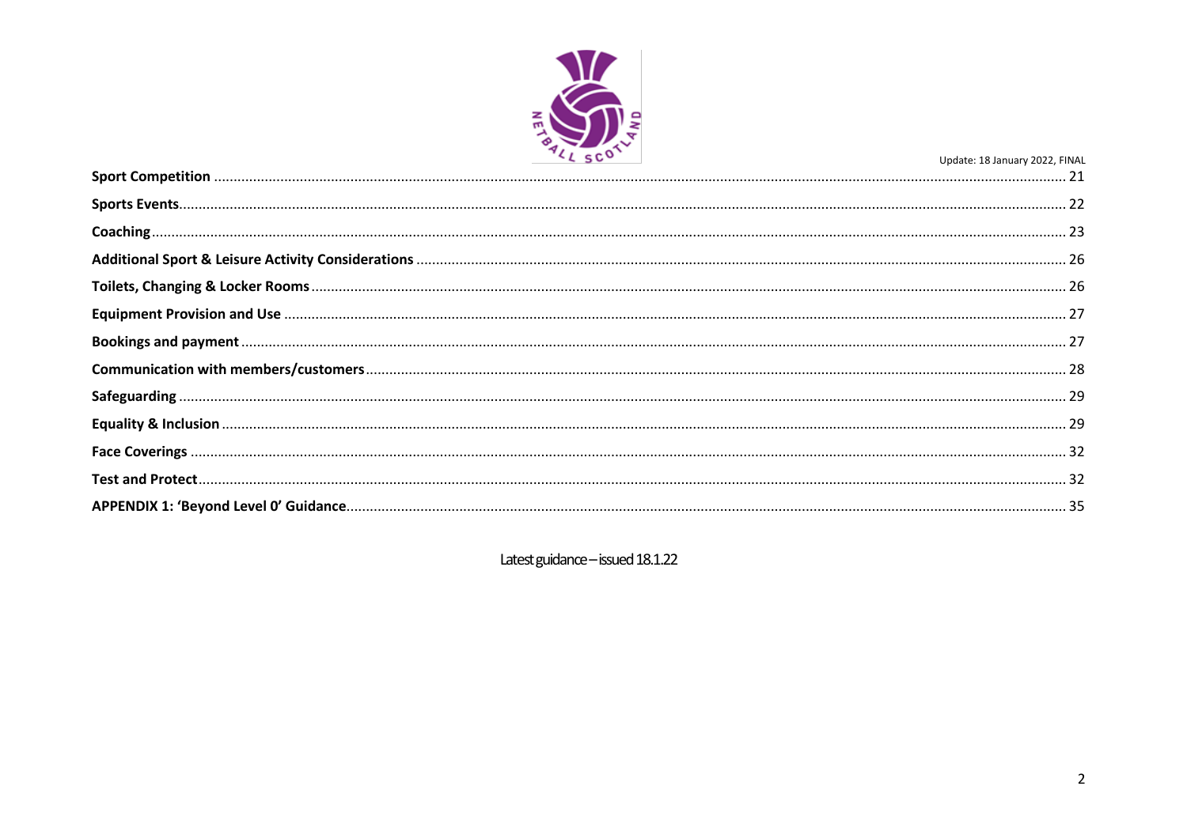

Latest guidance - issued 18.1.22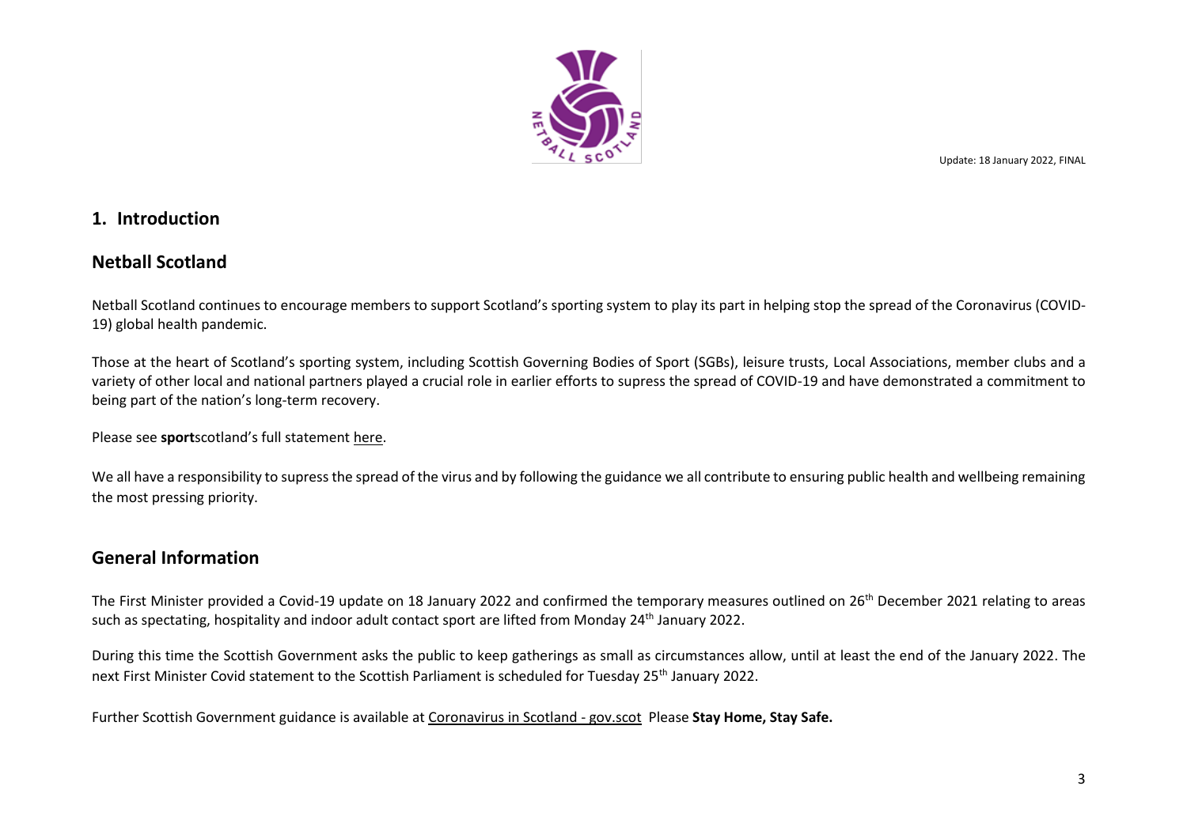

# <span id="page-2-0"></span>**1. Introduction**

# <span id="page-2-1"></span>**Netball Scotland**

Netball Scotland continues to encourage members to support Scotland's sporting system to play its part in helping stop the spread of the Coronavirus (COVID-19) global health pandemic.

Those at the heart of Scotland's sporting system, including Scottish Governing Bodies of Sport (SGBs), leisure trusts, Local Associations, member clubs and a variety of other local and national partners played a crucial role in earlier efforts to supress the spread of COVID-19 and have demonstrated a commitment to being part of the nation's long-term recovery.

Please see **sport**scotland's full statemen[t here.](https://sportfirst.sportscotland.org.uk/articles/lets-play-our-part/)

We all have a responsibility to supress the spread of the virus and by following the guidance we all contribute to ensuring public health and wellbeing remaining the most pressing priority.

# <span id="page-2-2"></span>**General Information**

The First Minister provided a Covid-19 update on 18 January 2022 and confirmed the temporary measures outlined on 26<sup>th</sup> December 2021 relating to areas such as spectating, hospitality and indoor adult contact sport are lifted from Monday 24<sup>th</sup> January 2022.

During this time the Scottish Government asks the public to keep gatherings as small as circumstances allow, until at least the end of the January 2022. The next First Minister Covid statement to the Scottish Parliament is scheduled for Tuesday 25<sup>th</sup> January 2022.

Further Scottish Government guidance is available at [Coronavirus in Scotland -](https://www.gov.scot/coronavirus-covid-19/) gov.scot Please **Stay Home, Stay Safe.**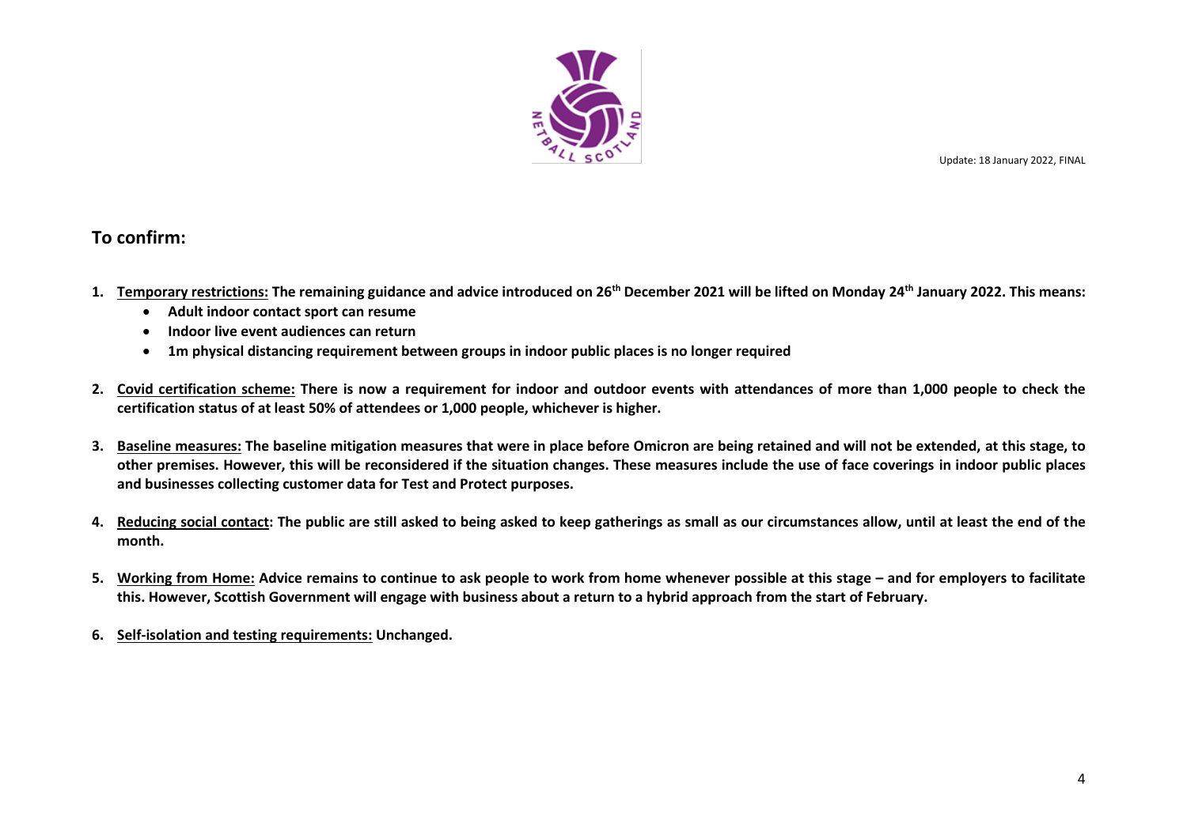

# <span id="page-3-0"></span>**To confirm:**

- **1. Temporary restrictions: The remaining guidance and advice introduced on 26th December 2021 will be lifted on Monday 24th January 2022. This means:**
	- **Adult indoor contact sport can resume**
	- **Indoor live event audiences can return**
	- **1m physical distancing requirement between groups in indoor public places is no longer required**
- **2. Covid certification scheme: There is now a requirement for indoor and outdoor events with attendances of more than 1,000 people to check the certification status of at least 50% of attendees or 1,000 people, whichever is higher.**
- **3. Baseline measures: The baseline mitigation measures that were in place before Omicron are being retained and will not be extended, at this stage, to other premises. However, this will be reconsidered if the situation changes. These measures include the use of face coverings in indoor public places and businesses collecting customer data for Test and Protect purposes.**
- **4. Reducing social contact: The public are still asked to being asked to keep gatherings as small as our circumstances allow, until at least the end of the month.**
- 5. Working from Home: Advice remains to continue to ask people to work from home whenever possible at this stage and for employers to facilitate **this. However, Scottish Government will engage with business about a return to a hybrid approach from the start of February.**
- **6. Self-isolation and testing requirements: Unchanged.**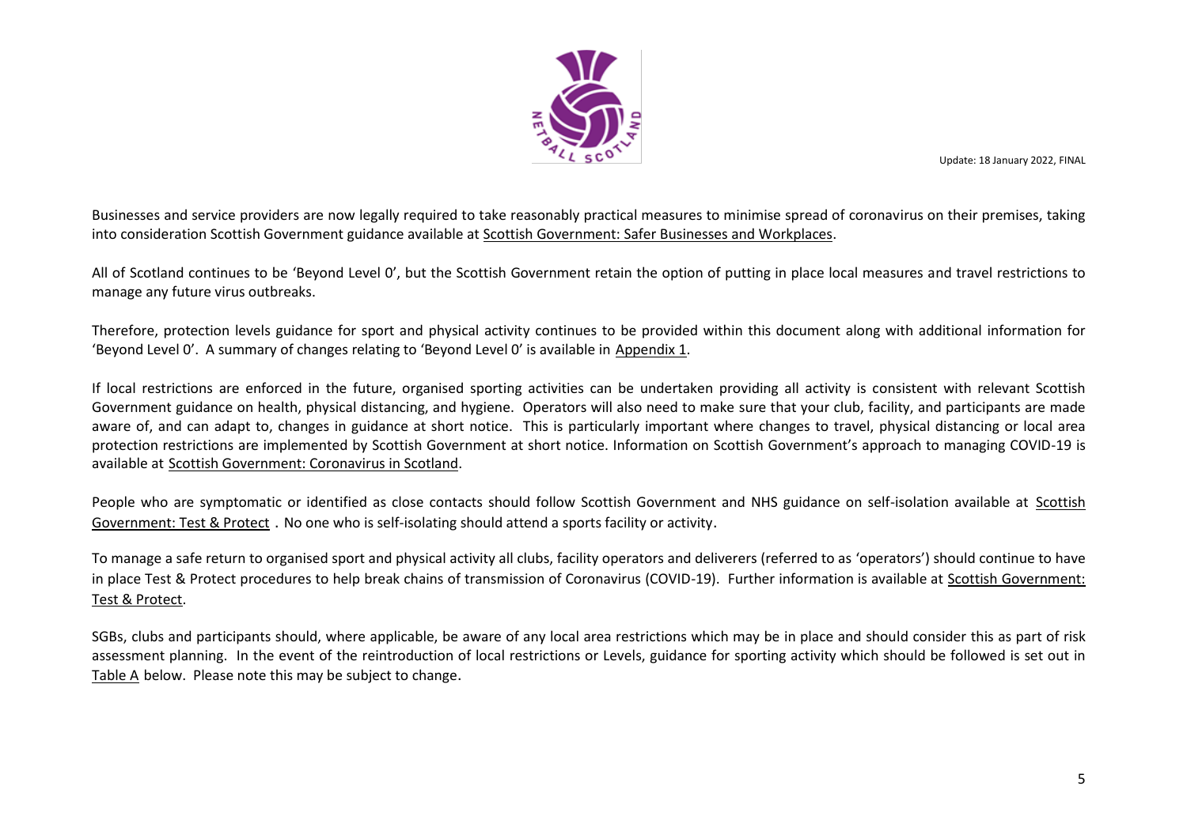

Businesses and service providers are now legally required to take reasonably practical measures to minimise spread of coronavirus on their premises, taking into consideration Scottish Government guidance available at [Scottish Government: Safer Businesses and Workplaces](https://www.gov.scot/publications/coronavirus-covid-19-general-guidance-for-safer-workplaces/).

All of Scotland continues to be 'Beyond Level 0', but the Scottish Government retain the option of putting in place local measures and travel restrictions to manage any future virus outbreaks.

Therefore, protection levels guidance for sport and physical activity continues to be provided within this document along with additional information for 'Beyond Level 0'. A summary of changes relating to 'Beyond Level 0' is available in [Appendix 1.](#page-34-0)

If local restrictions are enforced in the future, organised sporting activities can be undertaken providing all activity is consistent with relevant Scottish Government guidance on health, physical distancing, and hygiene. Operators will also need to make sure that your club, facility, and participants are made aware of, and can adapt to, changes in guidance at short notice. This is particularly important where changes to travel, physical distancing or local area protection restrictions are implemented by Scottish Government at short notice. Information on Scottish Government's approach to managing COVID-19 is available at [Scottish Government: Coronavirus in Scotland.](http://www.gov.scot/coronavirus-covid-19/)

People who are symptomatic or identified as close contacts should follow Scottish Government and NHS guidance on self-isolation available at [Scottish](https://www.gov.scot/publications/coronavirus-covid-19-test-and-protect/pages/who-needs-to-self-isolate/)  [Government: Test](https://www.gov.scot/publications/coronavirus-covid-19-test-and-protect/pages/who-needs-to-self-isolate/) & Protect . No one who is self-isolating should attend a sports facility or activity.

To manage a safe return to organised sport and physical activity all clubs, facility operators and deliverers (referred to as 'operators') should continue to have in place Test & Protect procedures to help break chains of transmission of Coronavirus (COVID-19). Further information is available at [Scottish Government:](http://www.gov.scot/publications/coronavirus-covid-19-test-and-protect/)  [Test & Protect.](http://www.gov.scot/publications/coronavirus-covid-19-test-and-protect/)

SGBs, clubs and participants should, where applicable, be aware of any local area restrictions which may be in place and should consider this as part of risk assessment planning. In the event of the reintroduction of local restrictions or Levels, guidance for sporting activity which should be followed is set out in Table A below. Please note this may be subject to change.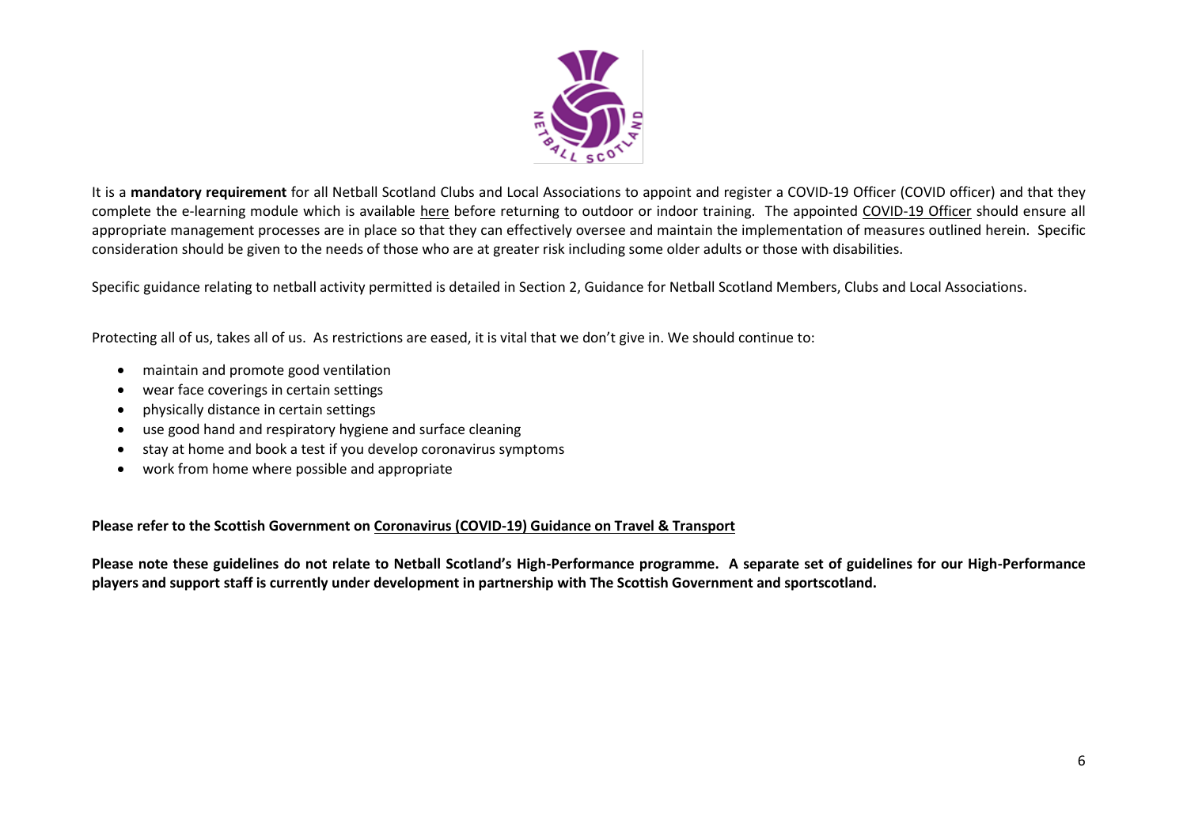

It is a **mandatory requirement** for all Netball Scotland Clubs and Local Associations to appoint and register a COVID-19 Officer (COVID officer) and that they complete the e-learning module which is available [here](https://rise.articulate.com/share/LlEWUj-o23H_4gC1AF002jdxdrCucQC0#/) before returning to outdoor or indoor training. The appointed [COVID-19 Officer](https://sportscotland.org.uk/media/5950/sportscotland-covid-officer.pdf) should ensure all appropriate management processes are in place so that they can effectively oversee and maintain the implementation of measures outlined herein. Specific consideration should be given to the needs of those who are at greater risk including some older adults or those with disabilities.

Specific guidance relating to netball activity permitted is detailed in Section 2, Guidance for Netball Scotland Members, Clubs and Local Associations.

Protecting all of us, takes all of us. As restrictions are eased, it is vital that we don't give in. We should continue to:

- maintain and promote good ventilation
- wear face coverings in certain settings
- physically distance in certain settings
- use good hand and respiratory hygiene and surface cleaning
- stay at home and book a test if you develop coronavirus symptoms
- work from home where possible and appropriate

**[Ple](https://www.gov.scot/collections/coronavirus-covid-19-scotlands-route-map/)ase refer to the Scottish Government on [Coronavirus \(COVID-19\) Guidance on Travel & Transport](https://www.gov.scot/publications/coronavirus-covid-19-guidance-on-travel-and-transport/)**

**Please note these guidelines do not relate to Netball Scotland's High-Performance programme. A separate set of guidelines for our High-Performance players and support staff is currently under development in partnership with The Scottish Government and sportscotland.**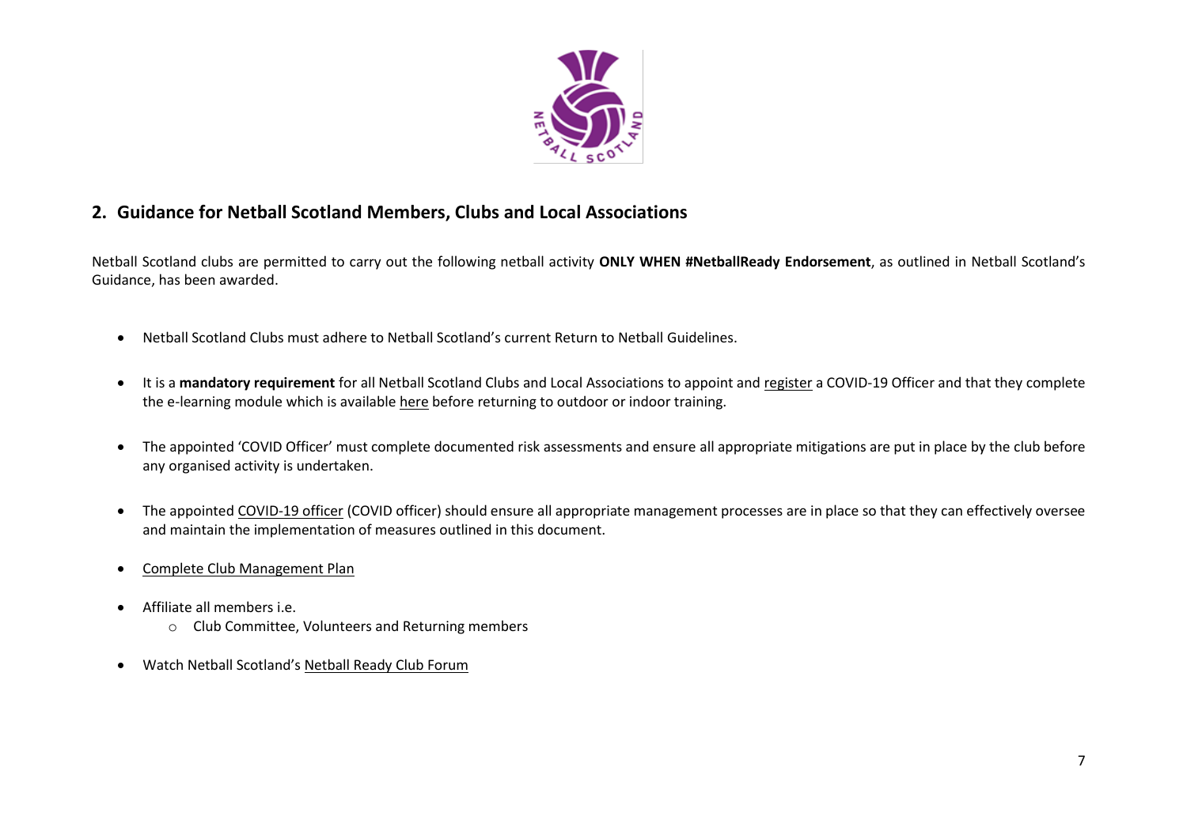

# <span id="page-6-0"></span>**2. Guidance for Netball Scotland Members, Clubs and Local Associations**

Netball Scotland clubs are permitted to carry out the following netball activity **ONLY WHEN #NetballReady Endorsement**, as outlined in Netball Scotland's Guidance, has been awarded.

- Netball Scotland Clubs must adhere to Netball Scotland's current Return to Netball Guidelines.
- It is a **mandatory requirement** for all Netball Scotland Clubs and Local Associations to appoint and register a COVID-19 Officer and that they complete the e-learning module which is availabl[e here](https://rise.articulate.com/share/LlEWUj-o23H_4gC1AF002jdxdrCucQC0#/) before returning to outdoor or indoor training.
- The appointed 'COVID Officer' must complete documented risk assessments and ensure all appropriate mitigations are put in place by the club before any organised activity is undertaken.
- The appointe[d COVID-19 officer](https://sportscotland.org.uk/media/5950/sportscotland-covid-officer.pdf) (COVID officer) should ensure all appropriate management processes are in place so that they can effectively oversee and maintain the implementation of measures outlined in this document.
- [Complete Club Management Plan](https://www.netballscotland.com/club-resources-hub/)
- Affiliate all members i.e.
	- o Club Committee, Volunteers and Returning members
- Watch Netball Scotland's [Netball Ready Club Forum](https://www.actify.org.uk/module/1196)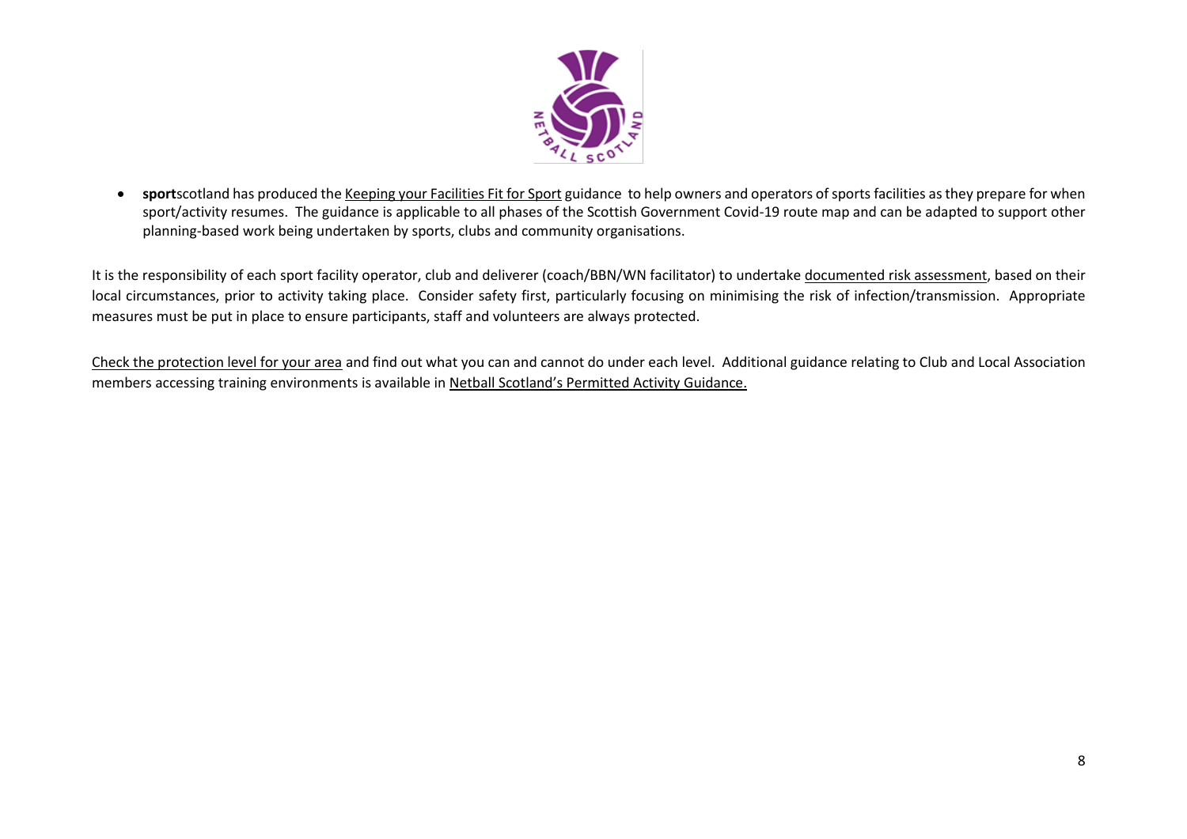

• **sport**scotland has produced th[e Keeping your Facilities Fit for Sport](https://sportscotland.org.uk/covid-19/getting-your-facilities-fit-for-sport/) guidance to help owners and operators of sports facilities as they prepare for when sport/activity resumes. The guidance is applicable to all phases of the Scottish Government Covid-19 route map and can be adapted to support other planning-based work being undertaken by sports, clubs and community organisations.

It is the responsibility of each sport facility operator, club and deliverer (coach/BBN/WN facilitator) to undertak[e documented risk assessment,](https://sportscotland.org.uk/covid-19/getting-your-facilities-fit-for-sport-resources/) based on their local circumstances, prior to activity taking place. Consider safety first, particularly focusing on minimising the risk of infection/transmission. Appropriate measures must be put in place to ensure participants, staff and volunteers are always protected.

[Check the protection level for your area](http://www.gov.scot/coronaviruslevels) and find out what you can and cannot do under each level. Additional guidance relating to Club and Local Association members accessing training environments is available in Netball Scotland's [Permitted Activity Guidance.](https://www.netballscotland.com/permittedactivity-hub/)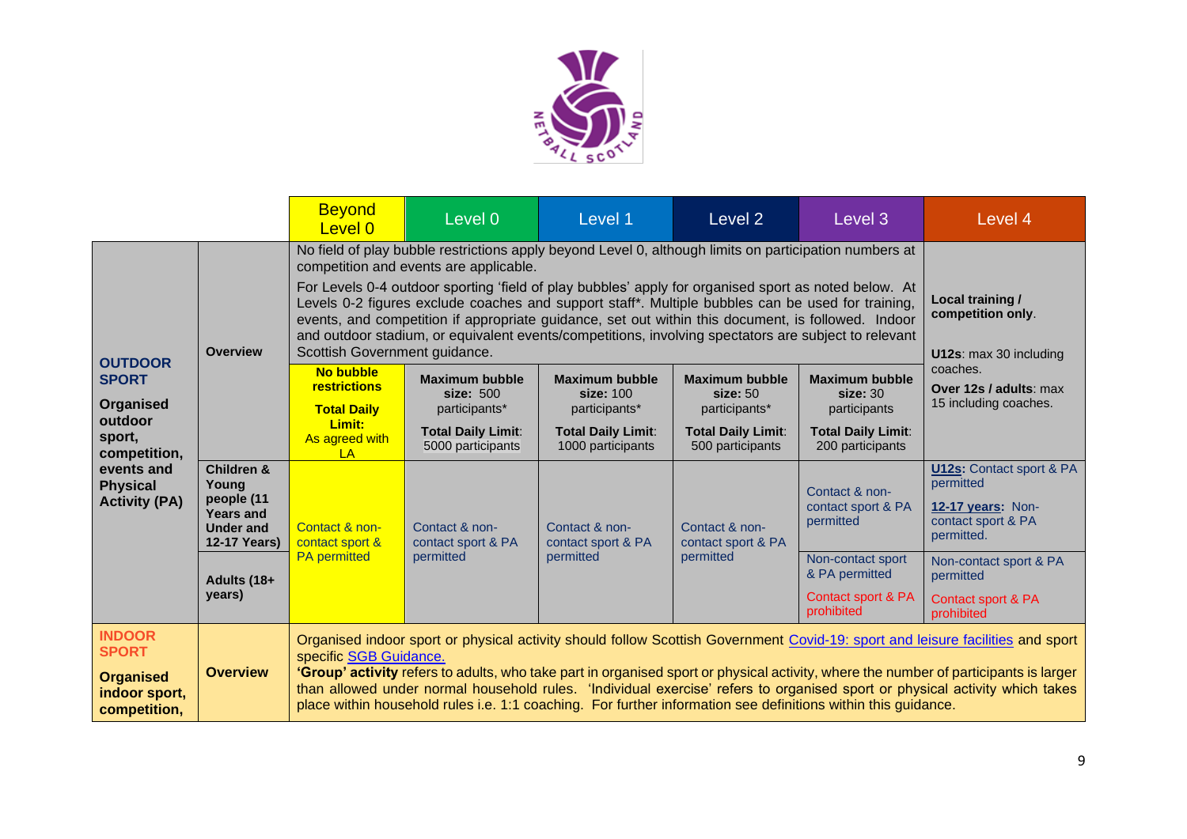

|                                                                                                                                           |                                                                                                             | <b>Beyond</b><br>Level 0                                                                                                                                                                                                                                                                                                                                                                                                                                                                                                                         | Level 0                                                         | Level 1                                                        | Level 2                                            | Level 3                                           | Level 4                                                                                               |
|-------------------------------------------------------------------------------------------------------------------------------------------|-------------------------------------------------------------------------------------------------------------|--------------------------------------------------------------------------------------------------------------------------------------------------------------------------------------------------------------------------------------------------------------------------------------------------------------------------------------------------------------------------------------------------------------------------------------------------------------------------------------------------------------------------------------------------|-----------------------------------------------------------------|----------------------------------------------------------------|----------------------------------------------------|---------------------------------------------------|-------------------------------------------------------------------------------------------------------|
|                                                                                                                                           |                                                                                                             | No field of play bubble restrictions apply beyond Level 0, although limits on participation numbers at<br>competition and events are applicable.                                                                                                                                                                                                                                                                                                                                                                                                 |                                                                 |                                                                |                                                    |                                                   |                                                                                                       |
| <b>OUTDOOR</b><br><b>SPORT</b><br>Organised<br>outdoor<br>sport,<br>competition,<br>events and<br><b>Physical</b><br><b>Activity (PA)</b> | <b>Overview</b>                                                                                             | For Levels 0-4 outdoor sporting 'field of play bubbles' apply for organised sport as noted below. At<br>Levels 0-2 figures exclude coaches and support staff*. Multiple bubbles can be used for training,<br>events, and competition if appropriate guidance, set out within this document, is followed. Indoor<br>and outdoor stadium, or equivalent events/competitions, involving spectators are subject to relevant<br>Scottish Government guidance.                                                                                         | Local training /<br>competition only.<br>U12s: max 30 including |                                                                |                                                    |                                                   |                                                                                                       |
|                                                                                                                                           |                                                                                                             | <b>No bubble</b><br>restrictions<br><b>Total Daily</b>                                                                                                                                                                                                                                                                                                                                                                                                                                                                                           | <b>Maximum bubble</b><br>size: 500<br>participants*             | <b>Maximum bubble</b><br>size: 100<br>participants*            | <b>Maximum bubble</b><br>size: 50<br>participants* | <b>Maximum bubble</b><br>size:30<br>participants  | coaches.<br>Over 12s / adults: max<br>15 including coaches.                                           |
|                                                                                                                                           |                                                                                                             | Limit:<br>As agreed with<br>LA                                                                                                                                                                                                                                                                                                                                                                                                                                                                                                                   | <b>Total Daily Limit:</b><br>5000 participants                  | <b>Total Daily Limit:</b><br>1000 participants                 | <b>Total Daily Limit:</b><br>500 participants      | <b>Total Daily Limit:</b><br>200 participants     |                                                                                                       |
|                                                                                                                                           | <b>Children &amp;</b><br>Young<br>people (11<br><b>Years and</b><br><b>Under and</b><br><b>12-17 Years)</b> | Contact & non-<br>Contact & non-<br>contact sport &<br>contact sport & PA<br><b>PA</b> permitted<br>permitted                                                                                                                                                                                                                                                                                                                                                                                                                                    |                                                                 | Contact & non-<br>contact sport & PA<br>permitted<br>permitted | Contact & non-<br>contact sport & PA               | Contact & non-<br>contact sport & PA<br>permitted | <b>U12s:</b> Contact sport & PA<br>permitted<br>12-17 years: Non-<br>contact sport & PA<br>permitted. |
|                                                                                                                                           | Adults (18+                                                                                                 |                                                                                                                                                                                                                                                                                                                                                                                                                                                                                                                                                  |                                                                 |                                                                |                                                    | Non-contact sport<br>& PA permitted               | Non-contact sport & PA<br>permitted                                                                   |
|                                                                                                                                           | years)                                                                                                      |                                                                                                                                                                                                                                                                                                                                                                                                                                                                                                                                                  |                                                                 |                                                                |                                                    | Contact sport & PA<br>prohibited                  | Contact sport & PA<br>prohibited                                                                      |
| <b>INDOOR</b><br><b>SPORT</b><br><b>Organised</b><br>indoor sport,<br>competition,                                                        | <b>Overview</b>                                                                                             | Organised indoor sport or physical activity should follow Scottish Government Covid-19: sport and leisure facilities and sport<br>specific SGB Guidance.<br>'Group' activity refers to adults, who take part in organised sport or physical activity, where the number of participants is larger<br>than allowed under normal household rules. 'Individual exercise' refers to organised sport or physical activity which takes<br>place within household rules i.e. 1:1 coaching. For further information see definitions within this guidance. |                                                                 |                                                                |                                                    |                                                   |                                                                                                       |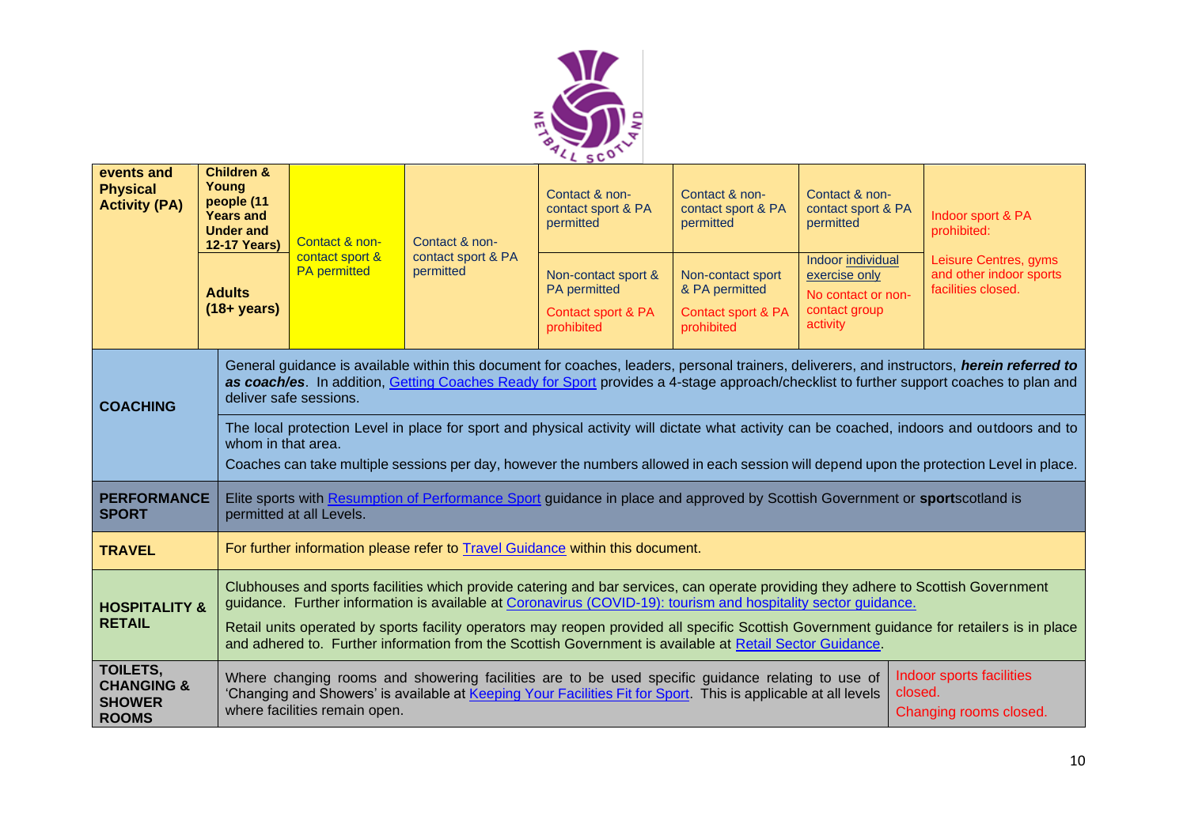

| events and<br><b>Physical</b><br><b>Activity (PA)</b>              | <b>Children &amp;</b><br>Young<br>people (11<br><b>Years and</b><br><b>Under and</b><br><b>12-17 Years)</b><br><b>Adults</b><br>$(18 + years)$ | Contact & non-<br>contact sport &<br><b>PA</b> permitted                                                                                                                                                                                                                                                                                                                                                                                                                                                       | Contact & non-<br>contact sport & PA<br>permitted | Contact & non-<br>contact sport & PA<br>permitted<br>Non-contact sport &<br><b>PA</b> permitted<br>Contact sport & PA<br>prohibited | Contact & non-<br>contact sport & PA<br>permitted<br>Non-contact sport<br>& PA permitted<br>Contact sport & PA<br>prohibited | Contact & non-<br>contact sport & PA<br>permitted<br>Indoor individual<br>exercise only<br>No contact or non-<br>contact group<br>activity | Indoor sport & PA<br>prohibited:<br>Leisure Centres, gyms<br>and other indoor sports<br>facilities closed.                                                                                                                                                                            |  |  |
|--------------------------------------------------------------------|------------------------------------------------------------------------------------------------------------------------------------------------|----------------------------------------------------------------------------------------------------------------------------------------------------------------------------------------------------------------------------------------------------------------------------------------------------------------------------------------------------------------------------------------------------------------------------------------------------------------------------------------------------------------|---------------------------------------------------|-------------------------------------------------------------------------------------------------------------------------------------|------------------------------------------------------------------------------------------------------------------------------|--------------------------------------------------------------------------------------------------------------------------------------------|---------------------------------------------------------------------------------------------------------------------------------------------------------------------------------------------------------------------------------------------------------------------------------------|--|--|
| <b>COACHING</b>                                                    |                                                                                                                                                | deliver safe sessions.                                                                                                                                                                                                                                                                                                                                                                                                                                                                                         |                                                   |                                                                                                                                     |                                                                                                                              |                                                                                                                                            | General guidance is available within this document for coaches, leaders, personal trainers, deliverers, and instructors, herein referred to<br>as coach/es. In addition, Getting Coaches Ready for Sport provides a 4-stage approach/checklist to further support coaches to plan and |  |  |
|                                                                    |                                                                                                                                                | The local protection Level in place for sport and physical activity will dictate what activity can be coached, indoors and outdoors and to<br>whom in that area.<br>Coaches can take multiple sessions per day, however the numbers allowed in each session will depend upon the protection Level in place.                                                                                                                                                                                                    |                                                   |                                                                                                                                     |                                                                                                                              |                                                                                                                                            |                                                                                                                                                                                                                                                                                       |  |  |
| <b>PERFORMANCE</b><br><b>SPORT</b>                                 |                                                                                                                                                | Elite sports with Resumption of Performance Sport guidance in place and approved by Scottish Government or sportscotland is<br>permitted at all Levels.                                                                                                                                                                                                                                                                                                                                                        |                                                   |                                                                                                                                     |                                                                                                                              |                                                                                                                                            |                                                                                                                                                                                                                                                                                       |  |  |
| <b>TRAVEL</b>                                                      |                                                                                                                                                | For further information please refer to <b>Travel Guidance</b> within this document.                                                                                                                                                                                                                                                                                                                                                                                                                           |                                                   |                                                                                                                                     |                                                                                                                              |                                                                                                                                            |                                                                                                                                                                                                                                                                                       |  |  |
| <b>HOSPITALITY &amp;</b><br><b>RETAIL</b>                          |                                                                                                                                                | Clubhouses and sports facilities which provide catering and bar services, can operate providing they adhere to Scottish Government<br>guidance. Further information is available at Coronavirus (COVID-19): tourism and hospitality sector guidance.<br>Retail units operated by sports facility operators may reopen provided all specific Scottish Government guidance for retailers is in place<br>and adhered to. Further information from the Scottish Government is available at Retail Sector Guidance. |                                                   |                                                                                                                                     |                                                                                                                              |                                                                                                                                            |                                                                                                                                                                                                                                                                                       |  |  |
| TOILETS,<br><b>CHANGING &amp;</b><br><b>SHOWER</b><br><b>ROOMS</b> |                                                                                                                                                | Indoor sports facilities<br>Where changing rooms and showering facilities are to be used specific guidance relating to use of<br>closed.<br>'Changing and Showers' is available at Keeping Your Facilities Fit for Sport. This is applicable at all levels<br>where facilities remain open.<br>Changing rooms closed.                                                                                                                                                                                          |                                                   |                                                                                                                                     |                                                                                                                              |                                                                                                                                            |                                                                                                                                                                                                                                                                                       |  |  |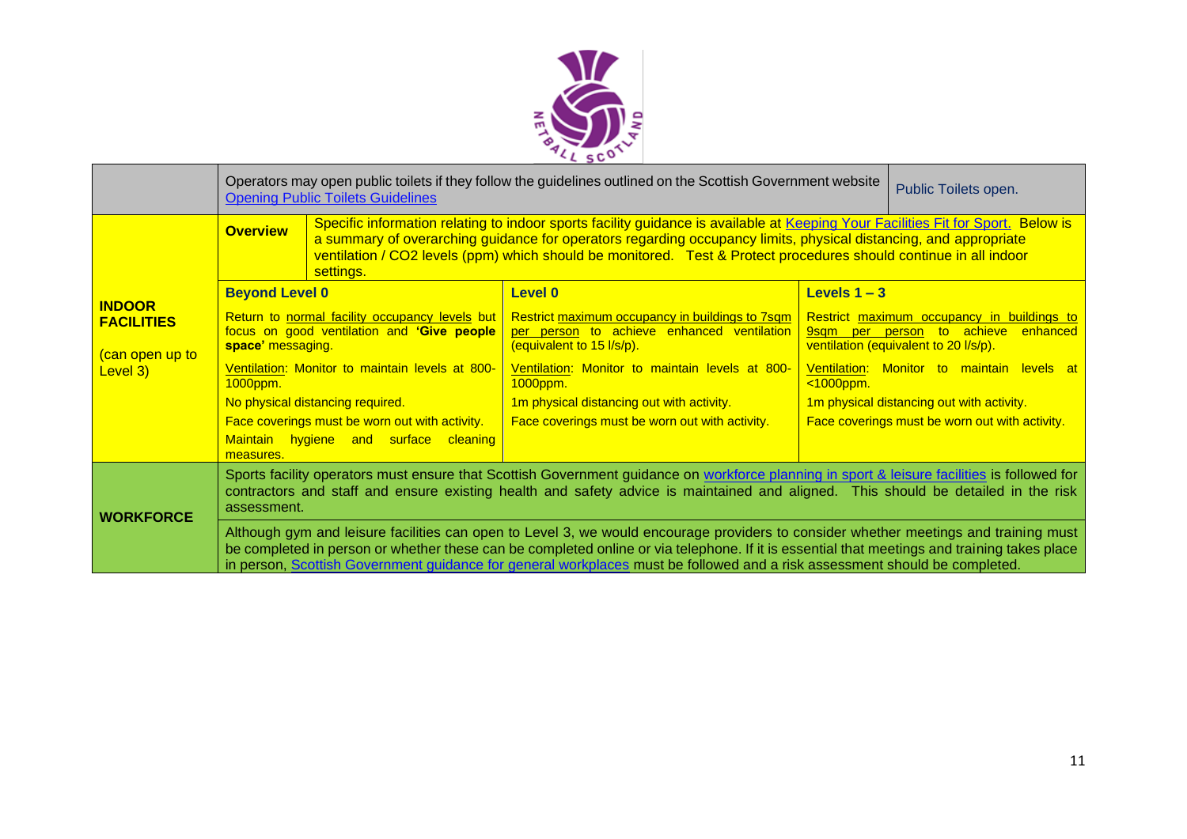

|                                                                  | Operators may open public toilets if they follow the guidelines outlined on the Scottish Government website<br><b>Opening Public Toilets Guidelines</b>                                                                                                                                                                                                                                                           | Public Toilets open.                                                                                                                                                                                                                                                                                                                                                                   |                                                                                                                                                                                                  |                                                                                                                                                                                                |                                           |  |  |
|------------------------------------------------------------------|-------------------------------------------------------------------------------------------------------------------------------------------------------------------------------------------------------------------------------------------------------------------------------------------------------------------------------------------------------------------------------------------------------------------|----------------------------------------------------------------------------------------------------------------------------------------------------------------------------------------------------------------------------------------------------------------------------------------------------------------------------------------------------------------------------------------|--------------------------------------------------------------------------------------------------------------------------------------------------------------------------------------------------|------------------------------------------------------------------------------------------------------------------------------------------------------------------------------------------------|-------------------------------------------|--|--|
|                                                                  | <b>Overview</b>                                                                                                                                                                                                                                                                                                                                                                                                   | Specific information relating to indoor sports facility guidance is available at Keeping Your Facilities Fit for Sport. Below is<br>a summary of overarching guidance for operators regarding occupancy limits, physical distancing, and appropriate<br>ventilation / CO2 levels (ppm) which should be monitored. Test & Protect procedures should continue in all indoor<br>settings. |                                                                                                                                                                                                  |                                                                                                                                                                                                |                                           |  |  |
|                                                                  | <b>Beyond Level 0</b>                                                                                                                                                                                                                                                                                                                                                                                             |                                                                                                                                                                                                                                                                                                                                                                                        | Level 0                                                                                                                                                                                          | Levels $1 - 3$                                                                                                                                                                                 |                                           |  |  |
| <b>INDOOR</b><br><b>FACILITIES</b><br>can open up to<br>Level 3) | Return to normal facility occupancy levels but<br>focus on good ventilation and 'Give people<br>space' messaging.<br>Ventilation: Monitor to maintain levels at 800-<br>1000ppm.                                                                                                                                                                                                                                  |                                                                                                                                                                                                                                                                                                                                                                                        | <b>Restrict maximum occupancy in buildings to 7sqm</b><br>per person to achieve enhanced ventilation<br>(equivalent to 15 l/s/p).<br>Ventilation: Monitor to maintain levels at 800-<br>1000ppm. | Restrict maximum occupancy in buildings to<br>to achieve<br>enhanced<br>9sam per person<br>ventilation (equivalent to 20 l/s/p).<br>Ventilation: Monitor to maintain levels at<br>$<1000$ ppm. |                                           |  |  |
|                                                                  |                                                                                                                                                                                                                                                                                                                                                                                                                   | No physical distancing required.                                                                                                                                                                                                                                                                                                                                                       | 1m physical distancing out with activity.                                                                                                                                                        |                                                                                                                                                                                                | 1m physical distancing out with activity. |  |  |
|                                                                  |                                                                                                                                                                                                                                                                                                                                                                                                                   | Face coverings must be worn out with activity.                                                                                                                                                                                                                                                                                                                                         | Face coverings must be worn out with activity.                                                                                                                                                   | Face coverings must be worn out with activity.                                                                                                                                                 |                                           |  |  |
|                                                                  | measures.                                                                                                                                                                                                                                                                                                                                                                                                         | Maintain hygiene and surface cleaning                                                                                                                                                                                                                                                                                                                                                  |                                                                                                                                                                                                  |                                                                                                                                                                                                |                                           |  |  |
| <b>WORKFORCE</b>                                                 | Sports facility operators must ensure that Scottish Government guidance on workforce planning in sport & leisure facilities is followed for<br>contractors and staff and ensure existing health and safety advice is maintained and aligned. This should be detailed in the risk<br>assessment.                                                                                                                   |                                                                                                                                                                                                                                                                                                                                                                                        |                                                                                                                                                                                                  |                                                                                                                                                                                                |                                           |  |  |
|                                                                  | Although gym and leisure facilities can open to Level 3, we would encourage providers to consider whether meetings and training must<br>be completed in person or whether these can be completed online or via telephone. If it is essential that meetings and training takes place<br>in person, Scottish Government guidance for general workplaces must be followed and a risk assessment should be completed. |                                                                                                                                                                                                                                                                                                                                                                                        |                                                                                                                                                                                                  |                                                                                                                                                                                                |                                           |  |  |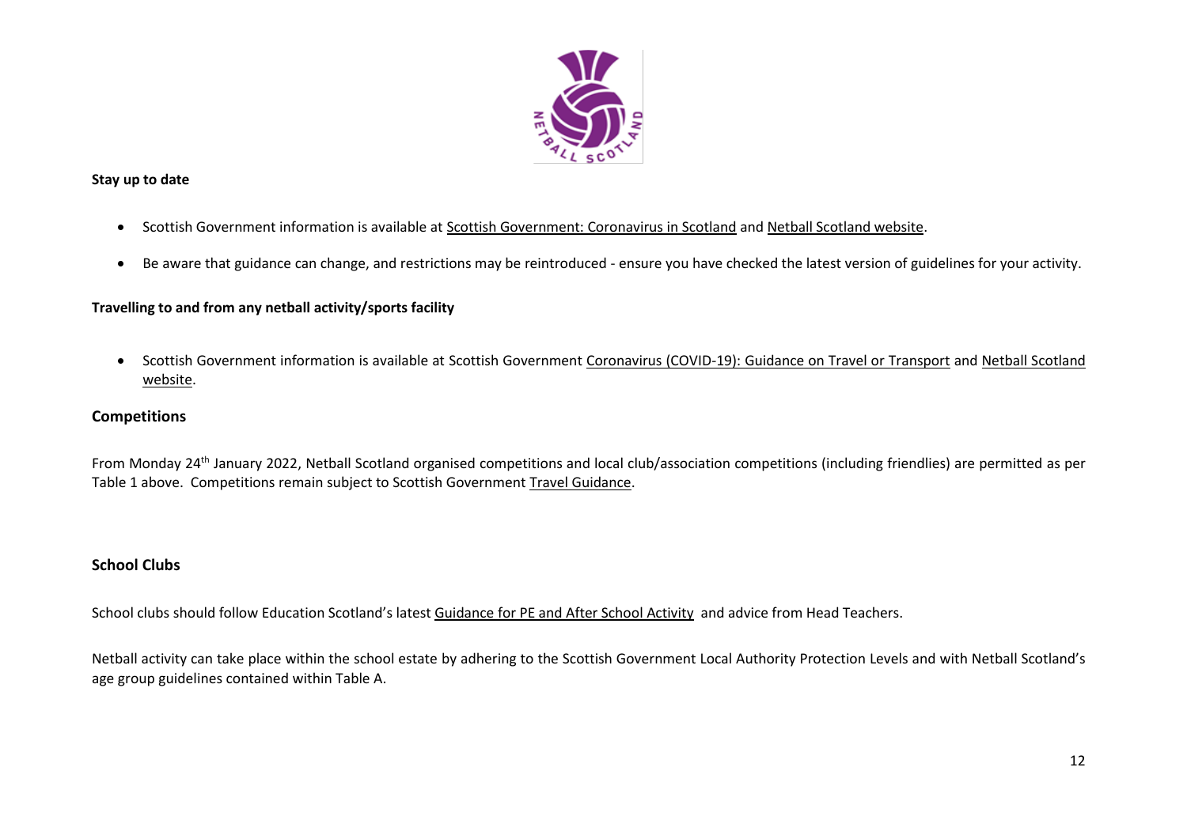

#### <span id="page-11-0"></span>**Stay up to date**

- Scottish Government information is available a[t Scottish Government: Coronavirus in Scotland](http://www.gov.scot/coronavirus-covid-19/) and [Netball Scotland website.](https://www.netballscotland.com/club-resources-hub/)
- Be aware that guidance can change, and restrictions may be reintroduced ensure you have checked the latest version of guidelines for your activity.

# <span id="page-11-1"></span>**Travelling to and from any netball activity/sports facility**

• Scottish Government information is available at Scottish Government Coronavirus (COVID-19): [Guidance on Travel or Transport](https://www.gov.scot/publications/coronavirus-covid-19-guidance-on-travel-and-transport/) and [Netball Scotland](https://www.netballscotland.com/club-resources-hub/)  [website.](https://www.netballscotland.com/club-resources-hub/)

### <span id="page-11-2"></span>**Competitions**

From Monday 24<sup>th</sup> January 2022, Netball Scotland organised competitions and local club/association competitions (including friendlies) are permitted as per Table 1 above.Competitions remain subject to Scottish Government Travel [Guidance.](#page-13-0)

# <span id="page-11-3"></span>**School Clubs**

School clubs should follow Education Scotland's latest [Guidance for PE and After School Activity](https://education.gov.scot/media/bgumt4f4/pe-guidelines-22-11-21.pdf) and advice from Head Teachers.

Netball activity can take place within the school estate by adhering to the Scottish Government Local Authority Protection Levels and with Netball Scotland's age group guidelines contained within Table A.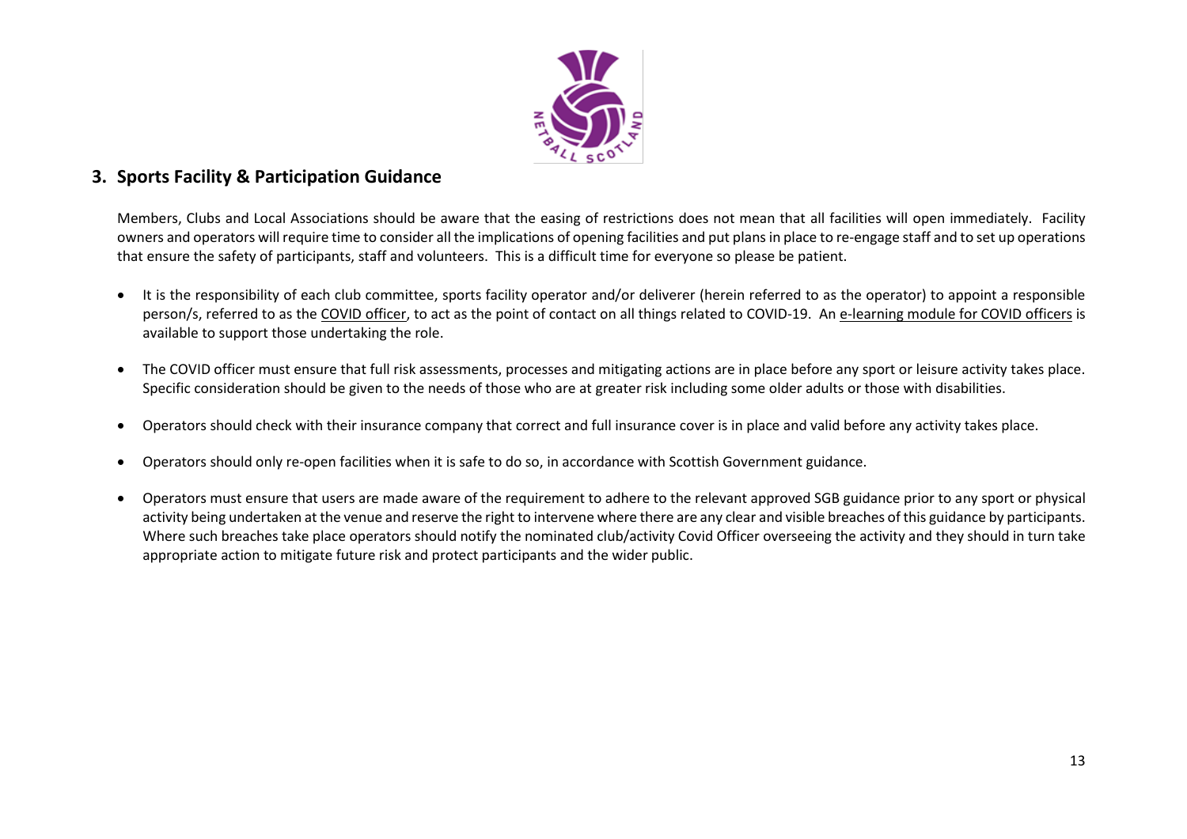

# <span id="page-12-0"></span>**3. Sports Facility & Participation Guidance**

Members, Clubs and Local Associations should be aware that the easing of restrictions does not mean that all facilities will open immediately. Facility owners and operators will require time to consider all the implications of opening facilities and put plans in place to re-engage staff and to set up operations that ensure the safety of participants, staff and volunteers. This is a difficult time for everyone so please be patient.

- It is the responsibility of each club committee, sports facility operator and/or deliverer (herein referred to as the operator) to appoint a responsible person/s, referred to as the [COVID officer,](http://www.sportscotland.org.uk/media/5950/sportscotland-covid-officer.pdf) to act as the point of contact on all things related to COVID-19. A[n e-learning module for COVID officers](https://rise.articulate.com/share/LlEWUj-o23H_4gC1AF002jdxdrCucQC0#/) is available to support those undertaking the role.
- The COVID officer must ensure that full risk assessments, processes and mitigating actions are in place before any sport or leisure activity takes place. Specific consideration should be given to the needs of those who are at greater risk including some older adults or those with disabilities.
- Operators should check with their insurance company that correct and full insurance cover is in place and valid before any activity takes place.
- Operators should only re-open facilities when it is safe to do so, in accordance with Scottish Government guidance.
- Operators must ensure that users are made aware of the requirement to adhere to the relevant approved SGB guidance prior to any sport or physical activity being undertaken at the venue and reserve the right to intervene where there are any clear and visible breaches of this guidance by participants. Where such breaches take place operators should notify the nominated club/activity Covid Officer overseeing the activity and they should in turn take appropriate action to mitigate future risk and protect participants and the wider public.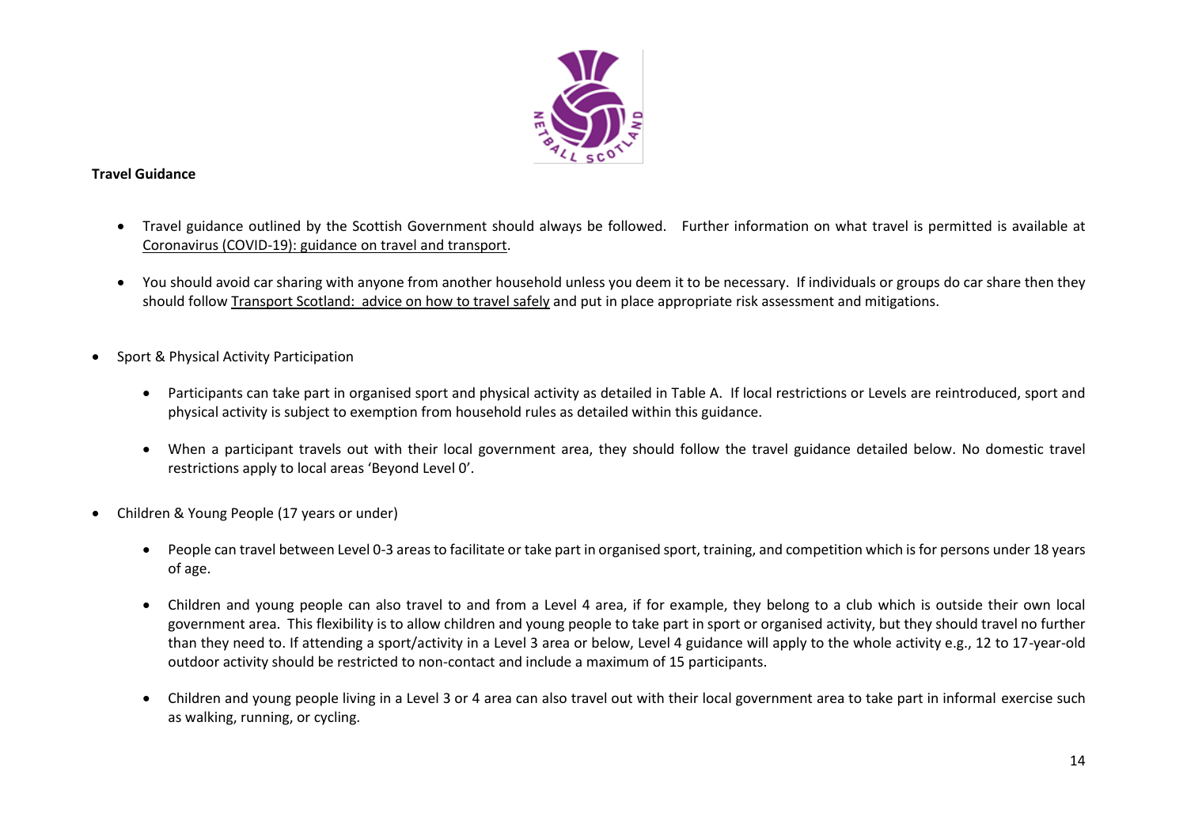

#### <span id="page-13-0"></span>**Travel Guidance**

- Travel guidance outlined by the Scottish Government should always be followed. Further information on what travel is permitted is available at [Coronavirus \(COVID-19\): guidance on travel and transport.](https://www.gov.scot/publications/coronavirus-covid-19-guidance-on-travel-and-transport/)
- You should avoid car sharing with anyone from another household unless you deem it to be necessary. If individuals or groups do car share then they should follow [Transport Scotland: advice on how to travel safely](http://www.transport.gov.scot/coronavirus-covid-19/transport-transition-plan/advice-on-how-to-travel-safely/#section-63888) and put in place appropriate risk assessment and mitigations.
- Sport & Physical Activity Participation
	- Participants can take part in organised sport and physical activity as detailed in Table A. If local restrictions or Levels are reintroduced, sport and physical activity is subject to exemption from household rules as detailed within this guidance.
	- When a participant travels out with their local government area, they should follow the travel guidance detailed below. No domestic travel restrictions apply to local areas 'Beyond Level 0'.
- Children & Young People (17 years or under)
	- People can travel between Level 0-3 areas to facilitate or take part in organised sport, training, and competition which is for persons under 18 years of age.
	- Children and young people can also travel to and from a Level 4 area, if for example, they belong to a club which is outside their own local government area. This flexibility is to allow children and young people to take part in sport or organised activity, but they should travel no further than they need to. If attending a sport/activity in a Level 3 area or below, Level 4 guidance will apply to the whole activity e.g., 12 to 17-year-old outdoor activity should be restricted to non-contact and include a maximum of 15 participants.
	- Children and young people living in a Level 3 or 4 area can also travel out with their local government area to take part in informal exercise such as walking, running, or cycling.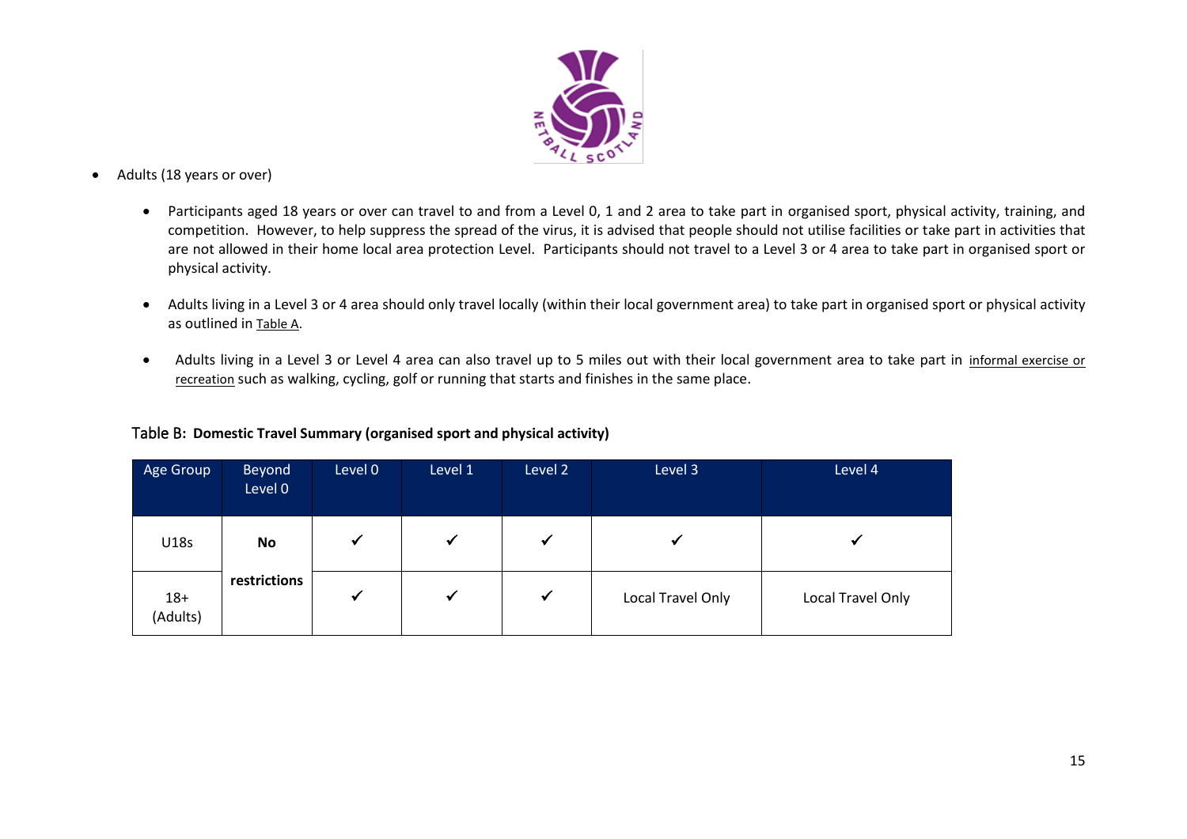

- Adults (18 years or over)
	- Participants aged 18 years or over can travel to and from a Level 0, 1 and 2 area to take part in organised sport, physical activity, training, and competition. However, to help suppress the spread of the virus, it is advised that people should not utilise facilities or take part in activities that are not allowed in their home local area protection Level. Participants should not travel to a Level 3 or 4 area to take part in organised sport or physical activity.
	- Adults living in a Level 3 or 4 area should only travel locally (within their local government area) to take part in organised sport or physical activity as outlined in Table A.
	- Adults living in a Level 3 or Level 4 area can also travel up to 5 miles out with their local government area to take part in informal exercise or recreation such as walking, cycling, golf or running that starts and finishes in the same place.

<span id="page-14-0"></span>

|  |  | Table B: Domestic Travel Summary (organised sport and physical activity) |  |  |  |  |
|--|--|--------------------------------------------------------------------------|--|--|--|--|
|--|--|--------------------------------------------------------------------------|--|--|--|--|

| Age Group         | Beyond<br>Level 0 | Level 0      | Level 1      | Level 2      | Level 3           | Level 4           |
|-------------------|-------------------|--------------|--------------|--------------|-------------------|-------------------|
| U18s              | No                | $\checkmark$ |              | $\checkmark$ | ✓                 |                   |
| $18+$<br>(Adults) | restrictions      | $\checkmark$ | $\checkmark$ | $\checkmark$ | Local Travel Only | Local Travel Only |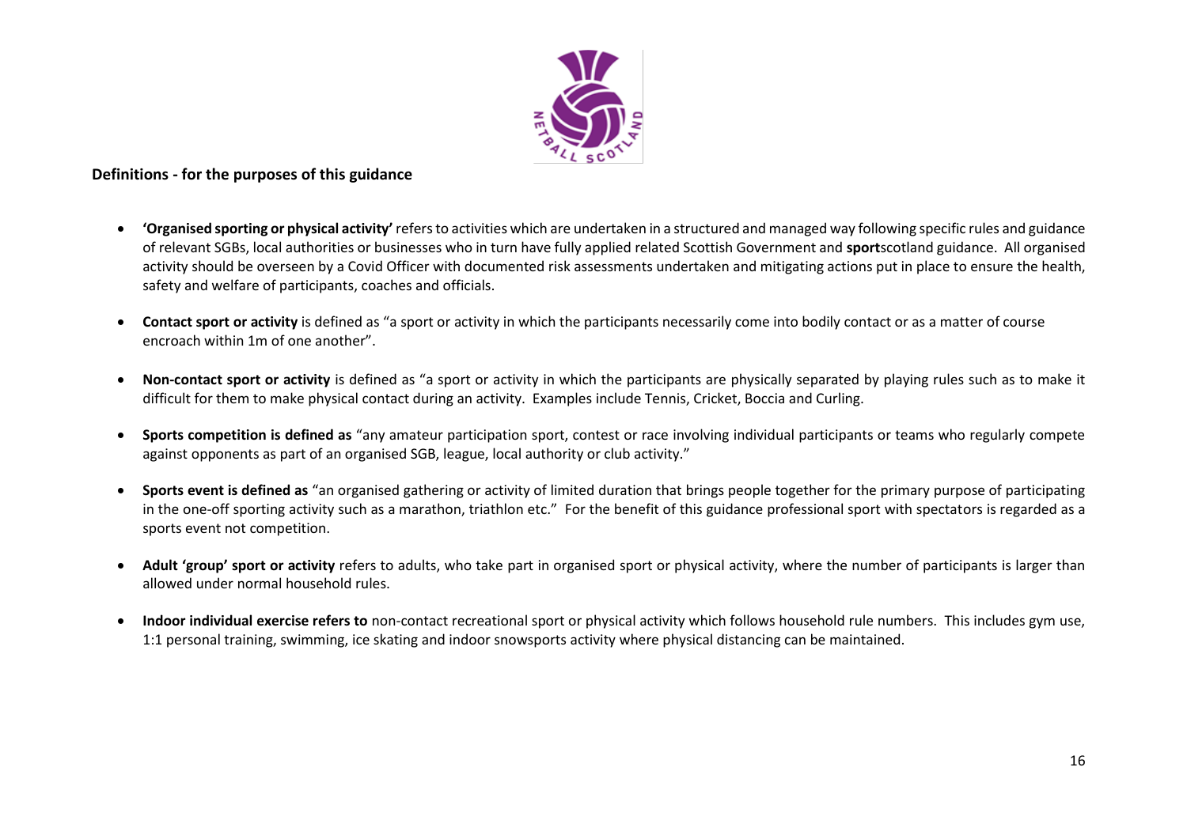

#### <span id="page-15-0"></span>**Definitions - for the purposes of this guidance**

- **'Organised sporting or physical activity'** refers to activities which are undertaken in a structured and managed way following specific rules and guidance of relevant SGBs, local authorities or businesses who in turn have fully applied related Scottish Government and **sport**scotland guidance. All organised activity should be overseen by a Covid Officer with documented risk assessments undertaken and mitigating actions put in place to ensure the health, safety and welfare of participants, coaches and officials.
- **Contact sport or activity** is defined as "a sport or activity in which the participants necessarily come into bodily contact or as a matter of course encroach within 1m of one another".
- **Non-contact sport or activity** is defined as "a sport or activity in which the participants are physically separated by playing rules such as to make it difficult for them to make physical contact during an activity. Examples include Tennis, Cricket, Boccia and Curling.
- **Sports competition is defined as** "any amateur participation sport, contest or race involving individual participants or teams who regularly compete against opponents as part of an organised SGB, league, local authority or club activity."
- **Sports event is defined as** "an organised gathering or activity of limited duration that brings people together for the primary purpose of participating in the one-off sporting activity such as a marathon, triathlon etc." For the benefit of this guidance professional sport with spectators is regarded as a sports event not competition.
- **Adult 'group' sport or activity** refers to adults, who take part in organised sport or physical activity, where the number of participants is larger than allowed under normal household rules.
- **Indoor individual exercise refers to** non-contact recreational sport or physical activity which follows household rule numbers. This includes gym use, 1:1 personal training, swimming, ice skating and indoor snowsports activity where physical distancing can be maintained.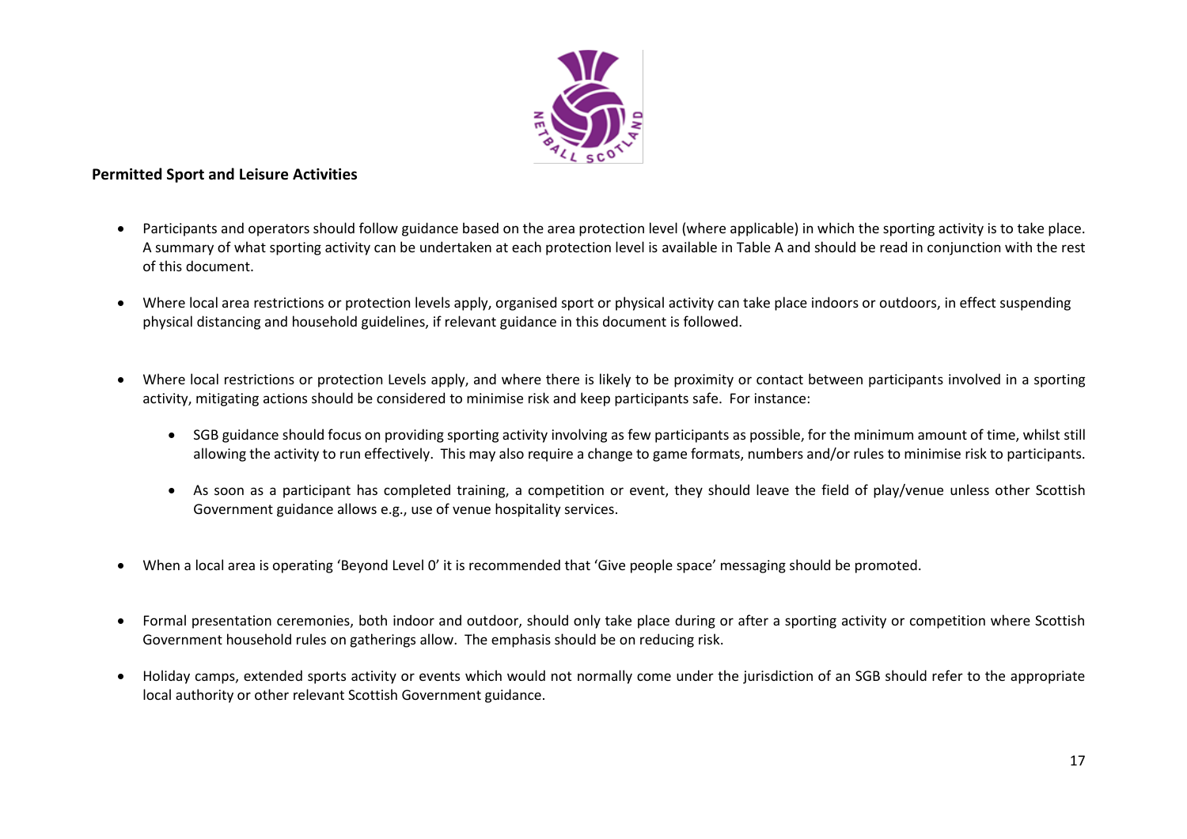

### <span id="page-16-0"></span>**Permitted Sport and Leisure Activities**

- Participants and operators should follow guidance based on the area protection level (where applicable) in which the sporting activity is to take place. A summary of what sporting activity can be undertaken at each protection level is available in Table A and should be read in conjunction with the rest of this document.
- Where local area restrictions or protection levels apply, organised sport or physical activity can take place indoors or outdoors, in effect suspending physical distancing and household guidelines, if relevant guidance in this document is followed.
- Where local restrictions or protection Levels apply, and where there is likely to be proximity or contact between participants involved in a sporting activity, mitigating actions should be considered to minimise risk and keep participants safe. For instance:
	- SGB guidance should focus on providing sporting activity involving as few participants as possible, for the minimum amount of time, whilst still allowing the activity to run effectively. This may also require a change to game formats, numbers and/or rules to minimise risk to participants.
	- As soon as a participant has completed training, a competition or event, they should leave the field of play/venue unless other Scottish Government guidance allows e.g., use of venue hospitality services.
- When a local area is operating 'Beyond Level 0' it is recommended that 'Give people space' messaging should be promoted.
- Formal presentation ceremonies, both indoor and outdoor, should only take place during or after a sporting activity or competition where Scottish Government household rules on gatherings allow. The emphasis should be on reducing risk.
- Holiday camps, extended sports activity or events which would not normally come under the jurisdiction of an SGB should refer to the appropriate local authority or other relevant Scottish Government guidance.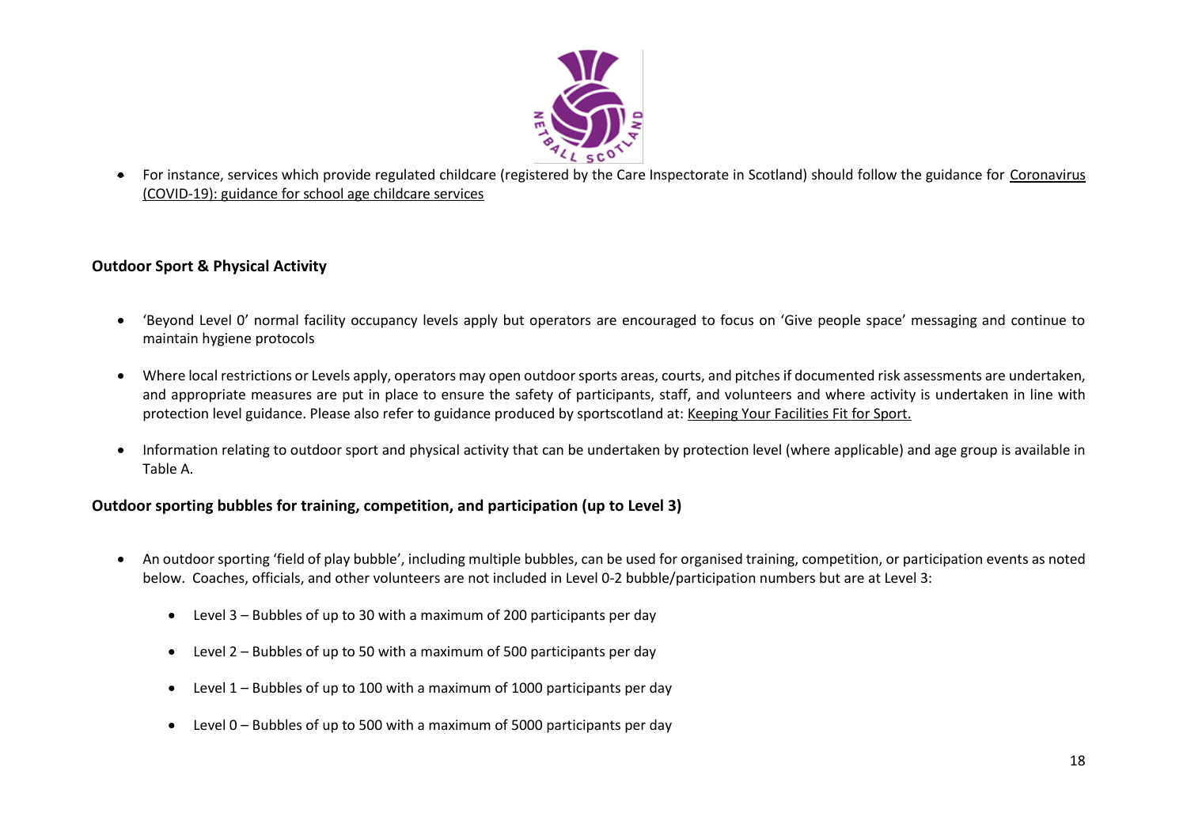

• For instance, services which provide regulated childcare (registered by the Care Inspectorate in Scotland) should follow the guidance for [Coronavirus](https://protect-eu.mimecast.com/s/32OUCoYgxT9D2YI1gTJb?domain=gov.scot/)  [\(COVID-19\): guidance for school age childcare services](https://protect-eu.mimecast.com/s/32OUCoYgxT9D2YI1gTJb?domain=gov.scot/)

# <span id="page-17-0"></span>**Outdoor Sport & Physical Activity**

- 'Beyond Level 0' normal facility occupancy levels apply but operators are encouraged to focus on 'Give people space' messaging and continue to maintain hygiene protocols
- Where local restrictions or Levels apply, operators may open outdoor sports areas, courts, and pitches if documented risk assessments are undertaken, and appropriate measures are put in place to ensure the safety of participants, staff, and volunteers and where activity is undertaken in line with protection level guidance. Please also refer to guidance produced by sportscotland at: [Keeping Your Facilities Fit for Sport.](http://www.sportscotland.org.uk/covid-19/getting-your-facilities-fit-for-sport/)
- Information relating to outdoor sport and physical activity that can be undertaken by protection level (where applicable) and age group is available in Table A.

#### <span id="page-17-1"></span>**Outdoor sporting bubbles for training, competition, and participation (up to Level 3)**

- An outdoor sporting 'field of play bubble', including multiple bubbles, can be used for organised training, competition, or participation events as noted below. Coaches, officials, and other volunteers are not included in Level 0-2 bubble/participation numbers but are at Level 3:
	- Level 3 Bubbles of up to 30 with a maximum of 200 participants per day
	- Level 2 Bubbles of up to 50 with a maximum of 500 participants per day
	- Level 1 Bubbles of up to 100 with a maximum of 1000 participants per day
	- Level 0 Bubbles of up to 500 with a maximum of 5000 participants per day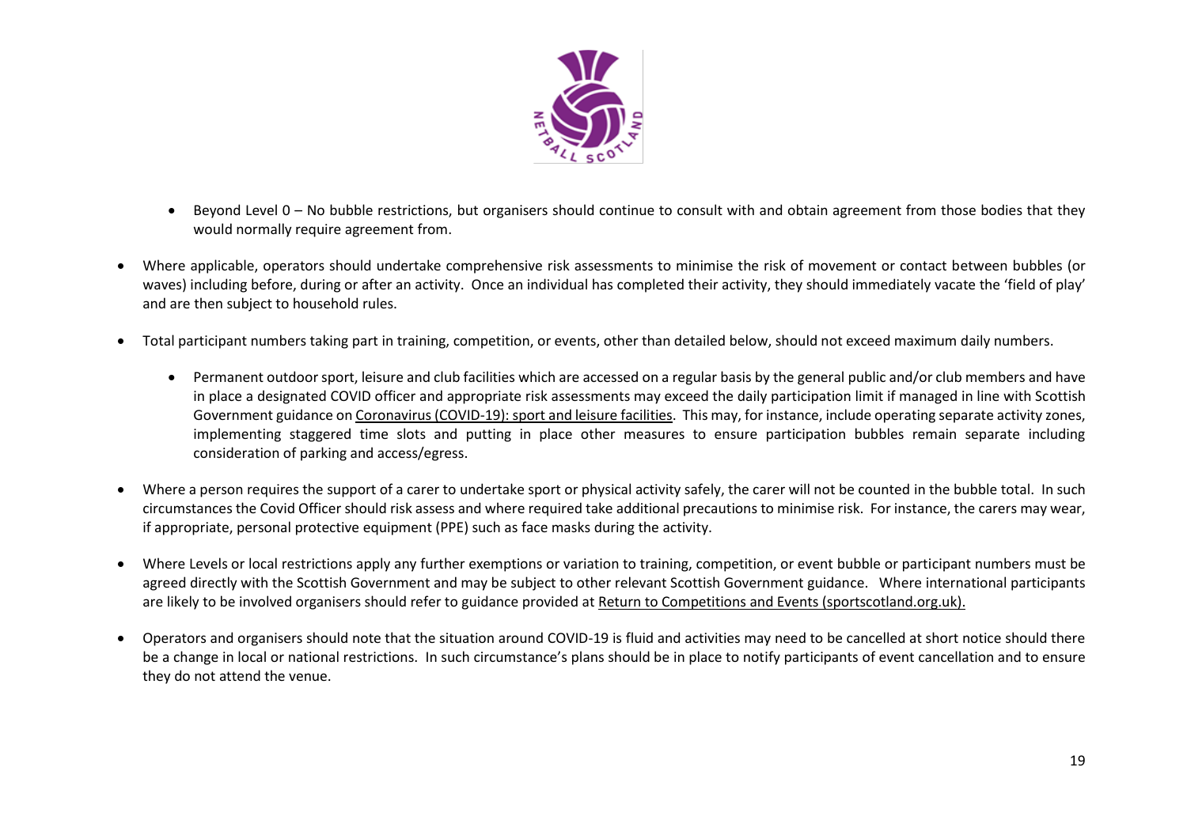

- Beyond Level 0 No bubble restrictions, but organisers should continue to consult with and obtain agreement from those bodies that they would normally require agreement from.
- Where applicable, operators should undertake comprehensive risk assessments to minimise the risk of movement or contact between bubbles (or waves) including before, during or after an activity. Once an individual has completed their activity, they should immediately vacate the 'field of play' and are then subject to household rules.
- Total participant numbers taking part in training, competition, or events, other than detailed below, should not exceed maximum daily numbers.
	- Permanent outdoor sport, leisure and club facilities which are accessed on a regular basis by the general public and/or club members and have in place a designated COVID officer and appropriate risk assessments may exceed the daily participation limit if managed in line with Scottish Government guidance o[n Coronavirus \(COVID-19\): sport and leisure facilities.](https://www.webarchive.org.uk/wayback/archive/20210605104012/http:/www.gov.scot/publications/coronavirus-covid-19-guidance-on-sport-and-leisure-facilities/) This may, for instance, include operating separate activity zones, implementing staggered time slots and putting in place other measures to ensure participation bubbles remain separate including consideration of parking and access/egress.
- Where a person requires the support of a carer to undertake sport or physical activity safely, the carer will not be counted in the bubble total. In such circumstances the Covid Officer should risk assess and where required take additional precautions to minimise risk. For instance, the carers may wear, if appropriate, personal protective equipment (PPE) such as face masks during the activity.
- Where Levels or local restrictions apply any further exemptions or variation to training, competition, or event bubble or participant numbers must be agreed directly with the Scottish Government and may be subject to other relevant Scottish Government guidance. Where international participants are likely to be involved organisers should refer to guidance provided at [Return to Competitions and Events \(sportscotland.org.uk\).](https://sportscotland.org.uk/covid-19/return-to-competitions-and-events/)
- Operators and organisers should note that the situation around COVID-19 is fluid and activities may need to be cancelled at short notice should there be a change in local or national restrictions. In such circumstance's plans should be in place to notify participants of event cancellation and to ensure they do not attend the venue.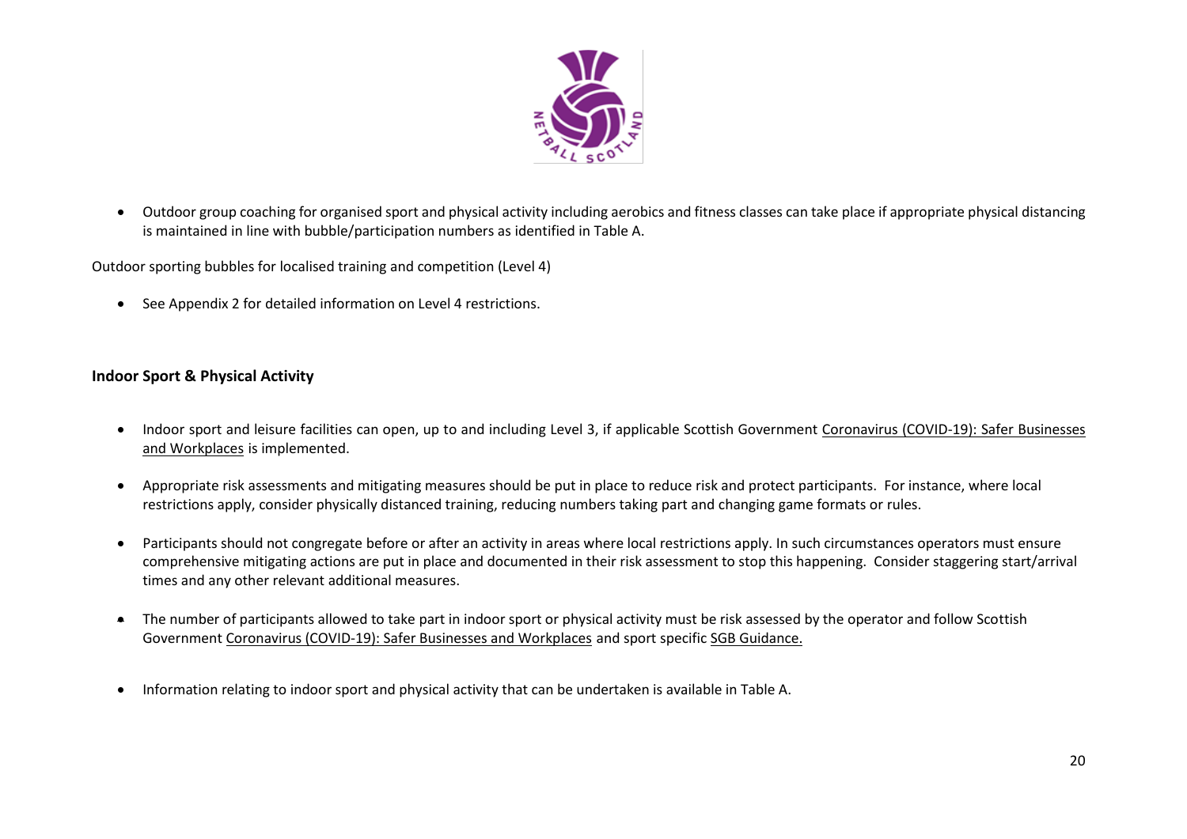

• Outdoor group coaching for organised sport and physical activity including aerobics and fitness classes can take place if appropriate physical distancing is maintained in line with bubble/participation numbers as identified in Table A.

Outdoor sporting bubbles for localised training and competition (Level 4)

• See Appendix 2 for detailed information on Level 4 restrictions.

#### <span id="page-19-0"></span>**Indoor Sport & Physical Activity**

- Indoor sport and leisure facilities can open, up to and including Level 3, if applicable Scottish Government Coronavirus (COVID-19): Safer Businesses [and Workplaces](https://www.gov.scot/publications/coronavirus-covid-19-general-guidance-for-safer-workplaces/) is implemented.
- Appropriate risk assessments and mitigating measures should be put in place to reduce risk and protect participants. For instance, where local restrictions apply, consider physically distanced training, reducing numbers taking part and changing game formats or rules.
- Participants should not congregate before or after an activity in areas where local restrictions apply. In such circumstances operators must ensure comprehensive mitigating actions are put in place and documented in their risk assessment to stop this happening. Consider staggering start/arrival times and any other relevant additional measures.
- The number of participants allowed to take part in indoor sport or physical activity must be risk assessed by the operator and follow Scottish Government [Coronavirus \(COVID-19\): Safer Businesses and Workplaces](https://www.gov.scot/publications/coronavirus-covid-19-general-guidance-for-safer-workplaces/) and sport specific [SGB Guidance.](https://sportscotland.org.uk/covid-19/latest-sport-and-physical-activity-guidance/)
- Information relating to indoor sport and physical activity that can be undertaken is available in Table A.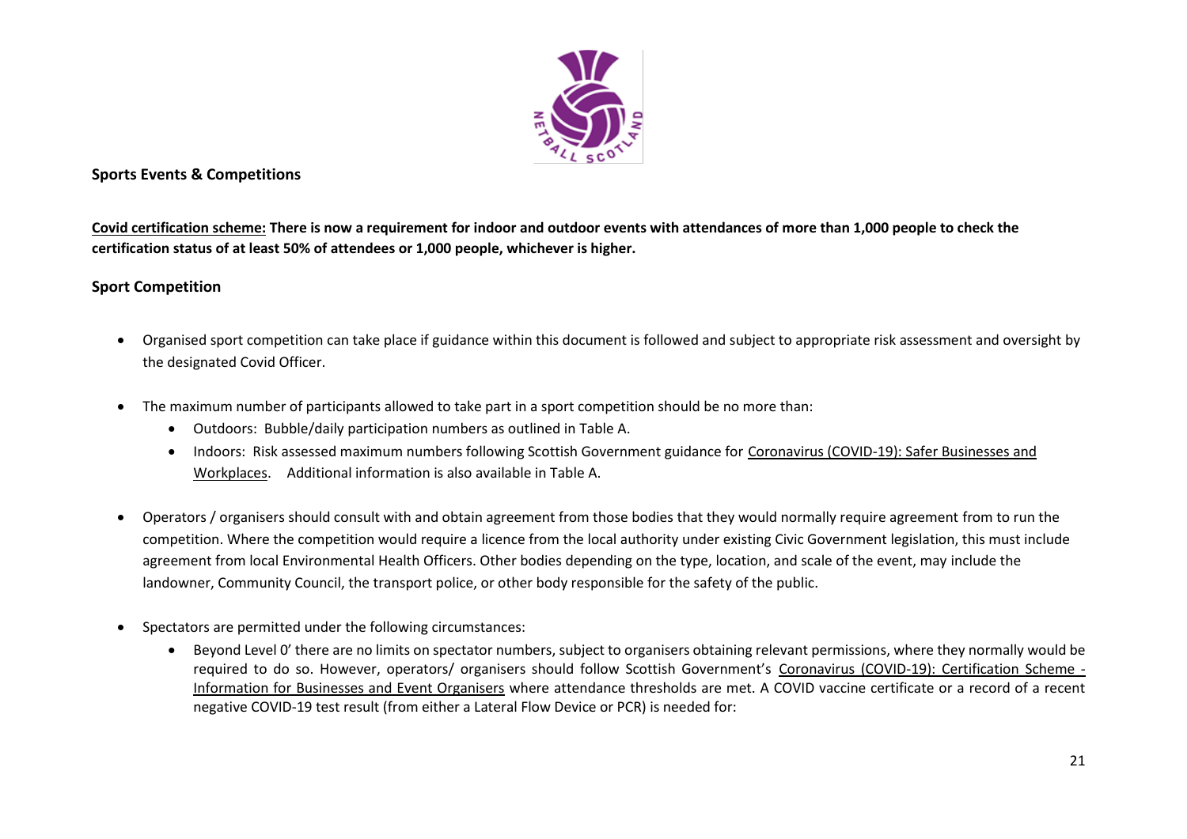

### <span id="page-20-0"></span>**Sports Events & Competitions**

**Covid certification scheme: There is now a requirement for indoor and outdoor events with attendances of more than 1,000 people to check the certification status of at least 50% of attendees or 1,000 people, whichever is higher.** 

### <span id="page-20-1"></span>**Sport Competition**

- Organised sport competition can take place if guidance within this document is followed and subject to appropriate risk assessment and oversight by the designated Covid Officer.
- The maximum number of participants allowed to take part in a sport competition should be no more than:
	- Outdoors: Bubble/daily participation numbers as outlined in Table A.
	- Indoors: Risk assessed maximum numbers following Scottish Government guidance for [Coronavirus \(COVID-19\): Safer Businesses and](https://www.gov.scot/publications/coronavirus-covid-19-general-guidance-for-safer-workplaces/)  [Workplaces.](https://www.gov.scot/publications/coronavirus-covid-19-general-guidance-for-safer-workplaces/) Additional information is also available in Table A.
- Operators / organisers should consult with and obtain agreement from those bodies that they would normally require agreement from to run the competition. Where the competition would require a licence from the local authority under existing Civic Government legislation, this must include agreement from local Environmental Health Officers. Other bodies depending on the type, location, and scale of the event, may include the landowner, Community Council, the transport police, or other body responsible for the safety of the public.
- Spectators are permitted under the following circumstances:
	- Beyond Level 0' there are no limits on spectator numbers, subject to organisers obtaining relevant permissions, where they normally would be required to do so. However, operators/ organisers should follow Scottish Government's [Coronavirus \(COVID-19\): Certification Scheme -](https://www.gov.scot/publications/coronavirus-covid-19-certification-scheme-businesses-event-organisers/) [Information for Businesses and Event Organisers](https://www.gov.scot/publications/coronavirus-covid-19-certification-scheme-businesses-event-organisers/) where attendance thresholds are met. A COVID vaccine certificate or a record of a recent negative COVID-19 test result (from either a Lateral Flow Device or PCR) is needed for: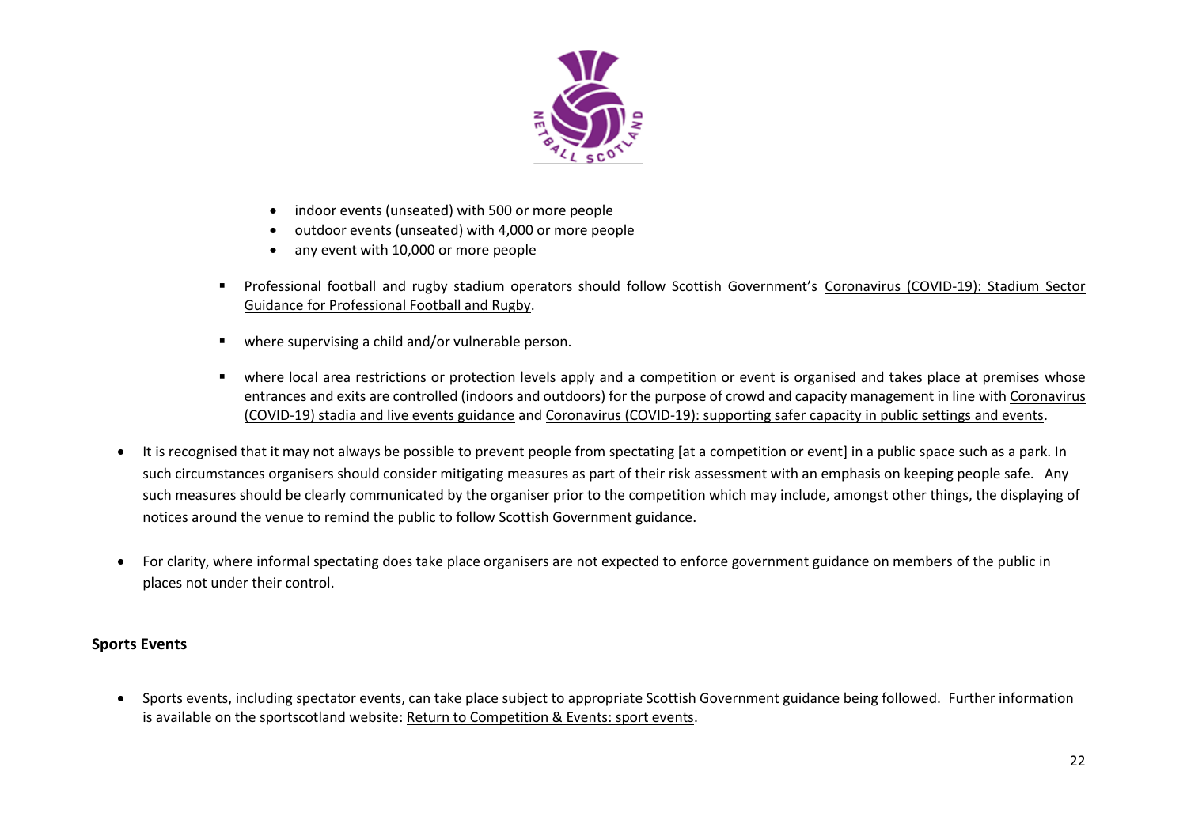

- indoor events (unseated) with 500 or more people
- outdoor events (unseated) with 4,000 or more people
- any event with 10,000 or more people
- Professional football and rugby stadium operators should follow Scottish Government's Coronavirus (COVID-19): Stadium Sector [Guidance for Professional Football and Rugby.](https://www.gov.scot/publications/coronavirus-covid-19-stadium-sector-guidance-for-professional-football-and-rugby/)
- where supervising a child and/or vulnerable person.
- where local area restrictions or protection levels apply and a competition or event is organised and takes place at premises whose entrances and exits are controlled (indoors and outdoors) for the purpose of crowd and capacity management in line wit[h Coronavirus](https://www.gov.scot/publications/coronavirus-covid-19-stadia-and-live-events-advice-for-event-organisers/)  [\(COVID-19\) stadia and live events guidance](https://www.gov.scot/publications/coronavirus-covid-19-stadia-and-live-events-advice-for-event-organisers/) and [Coronavirus \(COVID-19\): supporting safer capacity in public settings and events.](https://protect-eu.mimecast.com/s/P4KmClO9rHGQBpiqO5s9?domain=gov.scot/)
- It is recognised that it may not always be possible to prevent people from spectating [at a competition or event] in a public space such as a park. In such circumstances organisers should consider mitigating measures as part of their risk assessment with an emphasis on keeping people safe. Any such measures should be clearly communicated by the organiser prior to the competition which may include, amongst other things, the displaying of notices around the venue to remind the public to follow Scottish Government guidance.
- For clarity, where informal spectating does take place organisers are not expected to enforce government guidance on members of the public in places not under their control.

#### <span id="page-21-0"></span>**Sports Events**

• Sports events, including spectator events, can take place subject to appropriate Scottish Government guidance being followed. Further information is available on the sportscotland website: [Return to Competition & Events: sport events.](https://sportscotland.org.uk/covid-19/return-to-competitions-and-events/)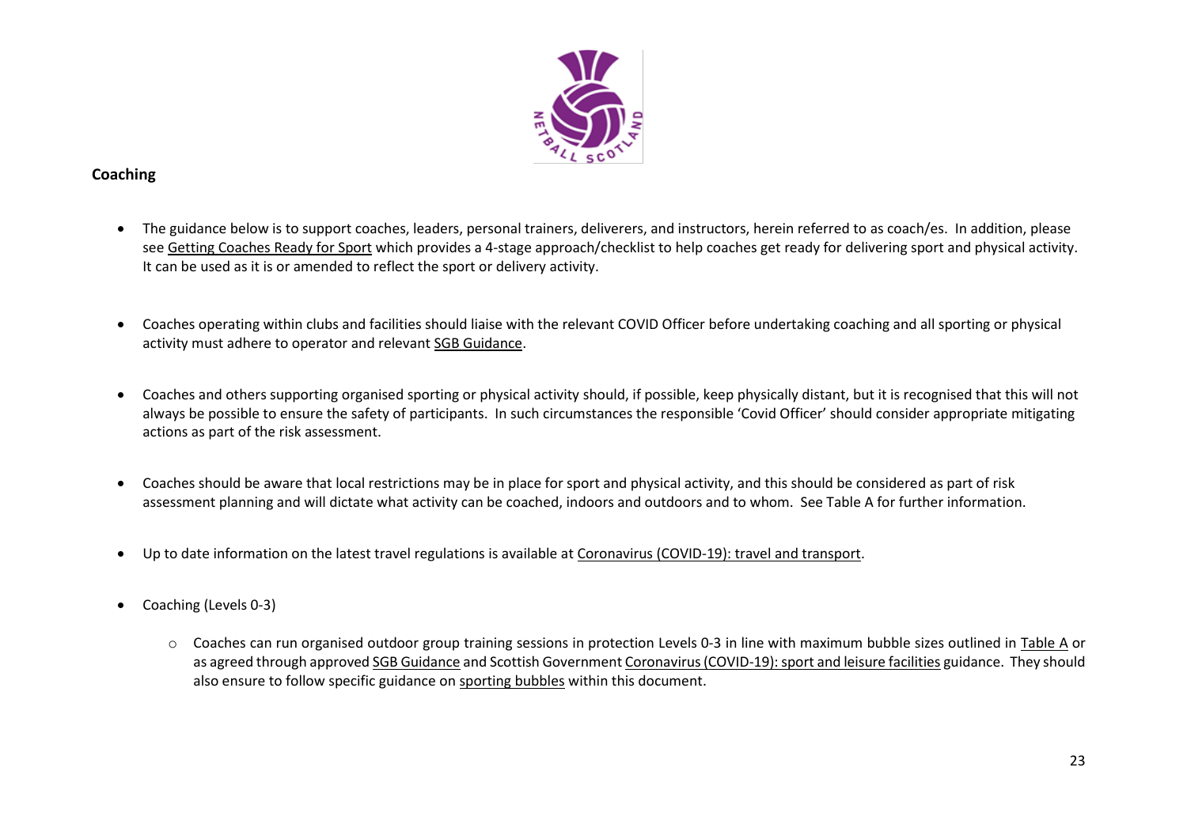

# <span id="page-22-0"></span>**Coaching**

- The guidance below is to support coaches, leaders, personal trainers, deliverers, and instructors, herein referred to as coach/es. In addition, please see [Getting Coaches Ready for Sport](https://sportscotland.org.uk/covid-19/getting-coaches-ready-for-sport/) which provides a 4-stage approach/checklist to help coaches get ready for delivering sport and physical activity. It can be used as it is or amended to reflect the sport or delivery activity.
- Coaches operating within clubs and facilities should liaise with the relevant COVID Officer before undertaking coaching and all sporting or physical activity must adhere to operator and relevant [SGB Guidance.](https://sportscotland.org.uk/covid-19/latest-sport-and-physical-activity-guidance/)
- Coaches and others supporting organised sporting or physical activity should, if possible, keep physically distant, but it is recognised that this will not always be possible to ensure the safety of participants. In such circumstances the responsible 'Covid Officer' should consider appropriate mitigating actions as part of the risk assessment.
- Coaches should be aware that local restrictions may be in place for sport and physical activity, and this should be considered as part of risk assessment planning and will dictate what activity can be coached, indoors and outdoors and to whom. See Table A for further information.
- Up to date information on the latest travel regulations is available a[t Coronavirus \(COVID-19\): travel and transport.](https://www.gov.scot/publications/coronavirus-covid-19-guidance-on-travel-and-transport/)
- Coaching (Levels 0-3)
	- o Coaches can run organised outdoor group training sessions in protection Levels 0-3 in line with maximum bubble sizes outlined in Table A or as agreed through approved [SGB Guidance](https://sportscotland.org.uk/covid-19/latest-sport-and-physical-activity-guidance/) and Scottish Government [Coronavirus \(COVID-19\): sport and leisure facilities](http://www.gov.scot/publications/coronavirus-covid-19-guidance-on-sport-and-leisure-facilities) guidance. They should also ensure to follow specific guidance on sporting bubbles within this document.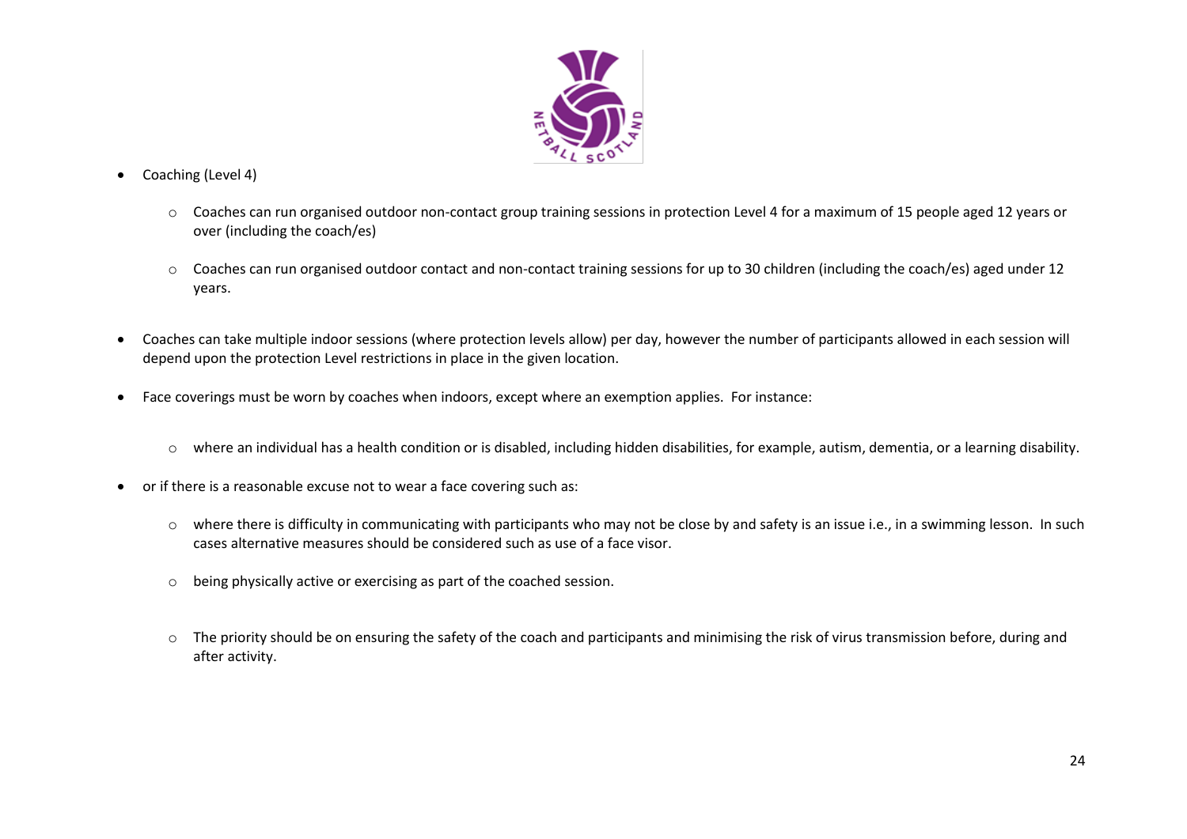

- Coaching (Level 4)
	- o Coaches can run organised outdoor non-contact group training sessions in protection Level 4 for a maximum of 15 people aged 12 years or over (including the coach/es)
	- o Coaches can run organised outdoor contact and non-contact training sessions for up to 30 children (including the coach/es) aged under 12 years.
- Coaches can take multiple indoor sessions (where protection levels allow) per day, however the number of participants allowed in each session will depend upon the protection Level restrictions in place in the given location.
- Face coverings must be worn by coaches when indoors, except where an exemption applies. For instance:
	- o where an individual has a health condition or is disabled, including hidden disabilities, for example, autism, dementia, or a learning disability.
- or if there is a reasonable excuse not to wear a face covering such as:
	- o where there is difficulty in communicating with participants who may not be close by and safety is an issue i.e., in a swimming lesson. In such cases alternative measures should be considered such as use of a face visor.
	- o being physically active or exercising as part of the coached session.
	- o The priority should be on ensuring the safety of the coach and participants and minimising the risk of virus transmission before, during and after activity.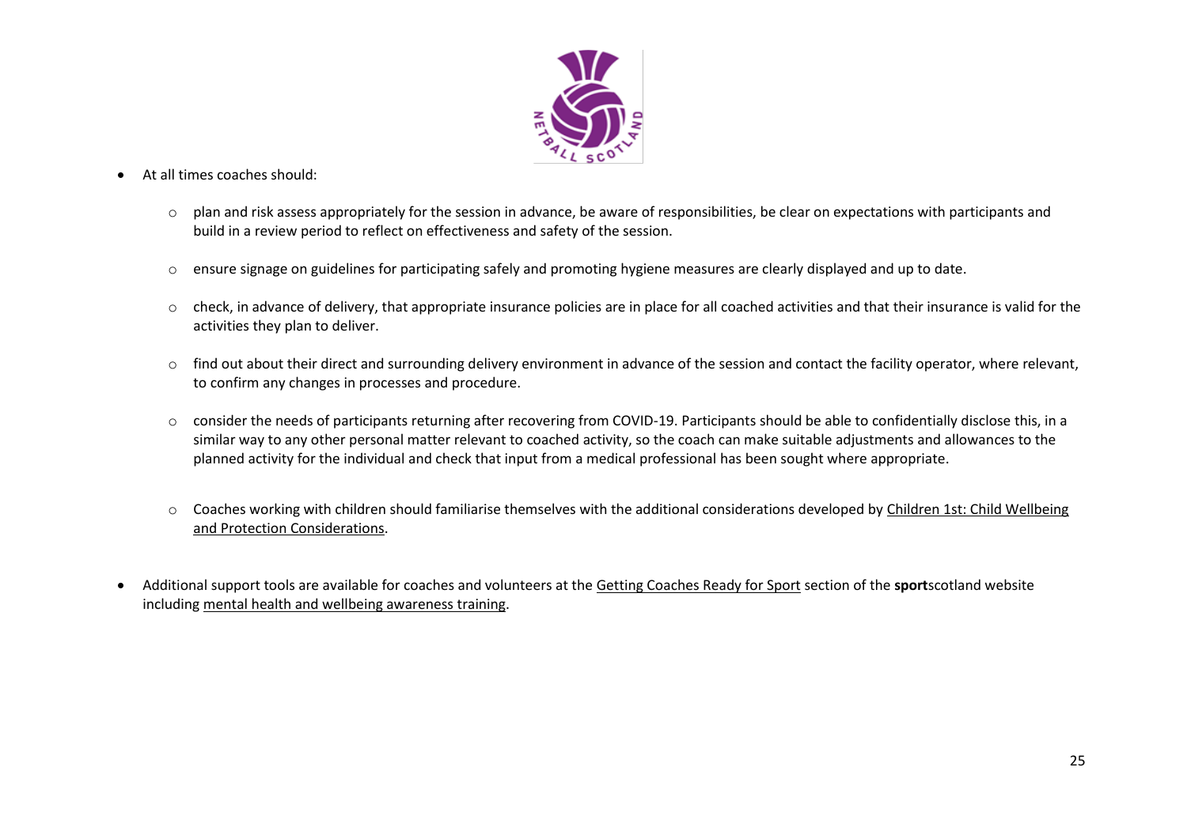

- At all times coaches should:
	- o plan and risk assess appropriately for the session in advance, be aware of responsibilities, be clear on expectations with participants and build in a review period to reflect on effectiveness and safety of the session.
	- o ensure signage on guidelines for participating safely and promoting hygiene measures are clearly displayed and up to date.
	- o check, in advance of delivery, that appropriate insurance policies are in place for all coached activities and that their insurance is valid for the activities they plan to deliver.
	- o find out about their direct and surrounding delivery environment in advance of the session and contact the facility operator, where relevant, to confirm any changes in processes and procedure.
	- o consider the needs of participants returning after recovering from COVID-19. Participants should be able to confidentially disclose this, in a similar way to any other personal matter relevant to coached activity, so the coach can make suitable adjustments and allowances to the planned activity for the individual and check that input from a medical professional has been sought where appropriate.
	- o Coaches working with children should familiarise themselves with the additional considerations developed by [Children 1st: Child Wellbeing](https://sportscotland.org.uk/media/5774/cyp-return-to-sport-after-covid-19.pdf)  [and Protection Considerations.](https://sportscotland.org.uk/media/5774/cyp-return-to-sport-after-covid-19.pdf)
- Additional support tools are available for coaches and volunteers at the [Getting Coaches Ready for Sport](https://sportscotland.org.uk/covid-19/getting-coaches-ready-for-sport/) section of the **sport**scotland website including [mental health and wellbeing awareness training.](https://sportscotland.info/mentalhealth/#/)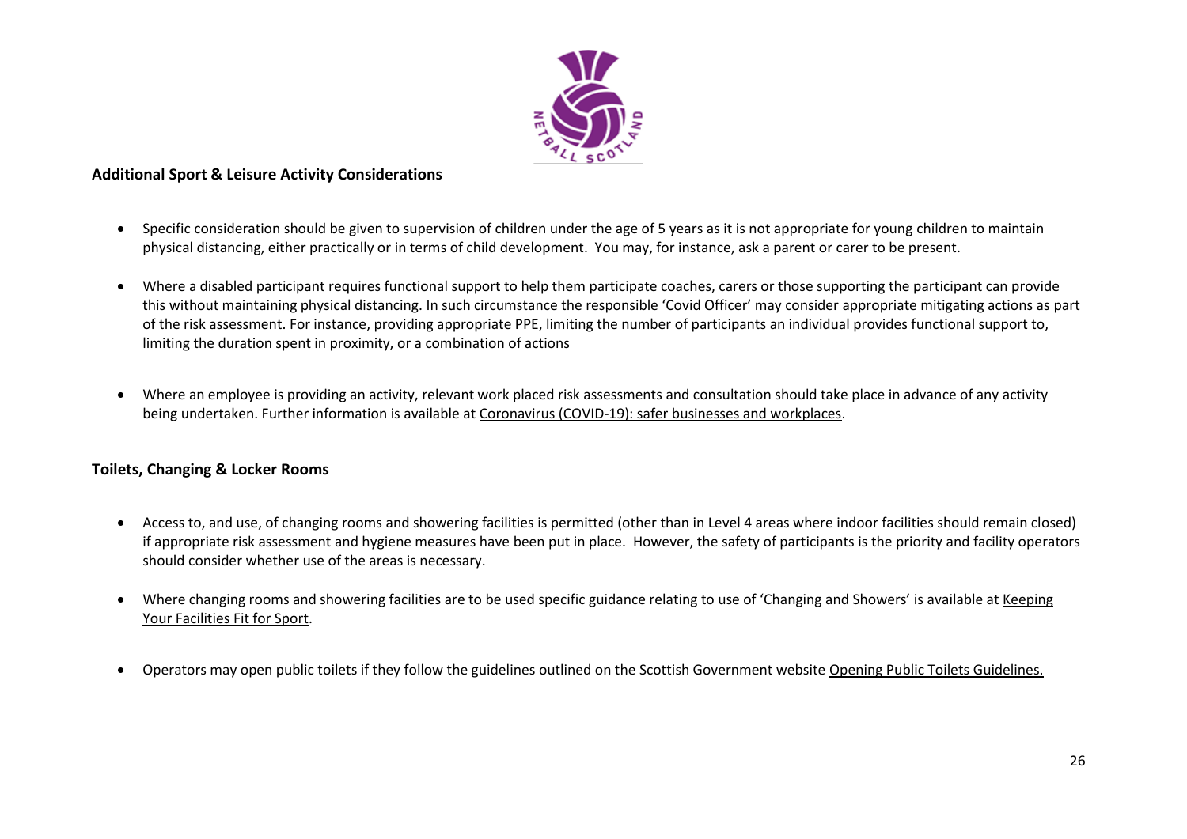

### <span id="page-25-0"></span>**Additional Sport & Leisure Activity Considerations**

- Specific consideration should be given to supervision of children under the age of 5 years as it is not appropriate for young children to maintain physical distancing, either practically or in terms of child development. You may, for instance, ask a parent or carer to be present.
- Where a disabled participant requires functional support to help them participate coaches, carers or those supporting the participant can provide this without maintaining physical distancing. In such circumstance the responsible 'Covid Officer' may consider appropriate mitigating actions as part of the risk assessment. For instance, providing appropriate PPE, limiting the number of participants an individual provides functional support to, limiting the duration spent in proximity, or a combination of actions
- Where an employee is providing an activity, relevant work placed risk assessments and consultation should take place in advance of any activity being undertaken. Further information is available at [Coronavirus \(COVID-19\): safer businesses and workplaces.](https://www.gov.scot/publications/coronavirus-covid-19-general-guidance-for-safer-workplaces/)

# <span id="page-25-1"></span>**Toilets, Changing & Locker Rooms**

- Access to, and use, of changing rooms and showering facilities is permitted (other than in Level 4 areas where indoor facilities should remain closed) if appropriate risk assessment and hygiene measures have been put in place. However, the safety of participants is the priority and facility operators should consider whether use of the areas is necessary.
- Where changing rooms and showering facilities are to be used specific guidance relating to use of 'Changing and Showers' is available at [Keeping](http://www.sportscotland.org.uk/covid-19/getting-your-facilities-fit-for-sport/)  [Your Facilities Fit for Sport.](http://www.sportscotland.org.uk/covid-19/getting-your-facilities-fit-for-sport/)
- Operators may open public toilets if they follow the guidelines outlined on the Scottish Government website [Opening Public Toilets Guidelines.](https://www.gov.scot/publications/coronavirus-covid-19-public-and-customer-toilets-guidance/pages/overview/)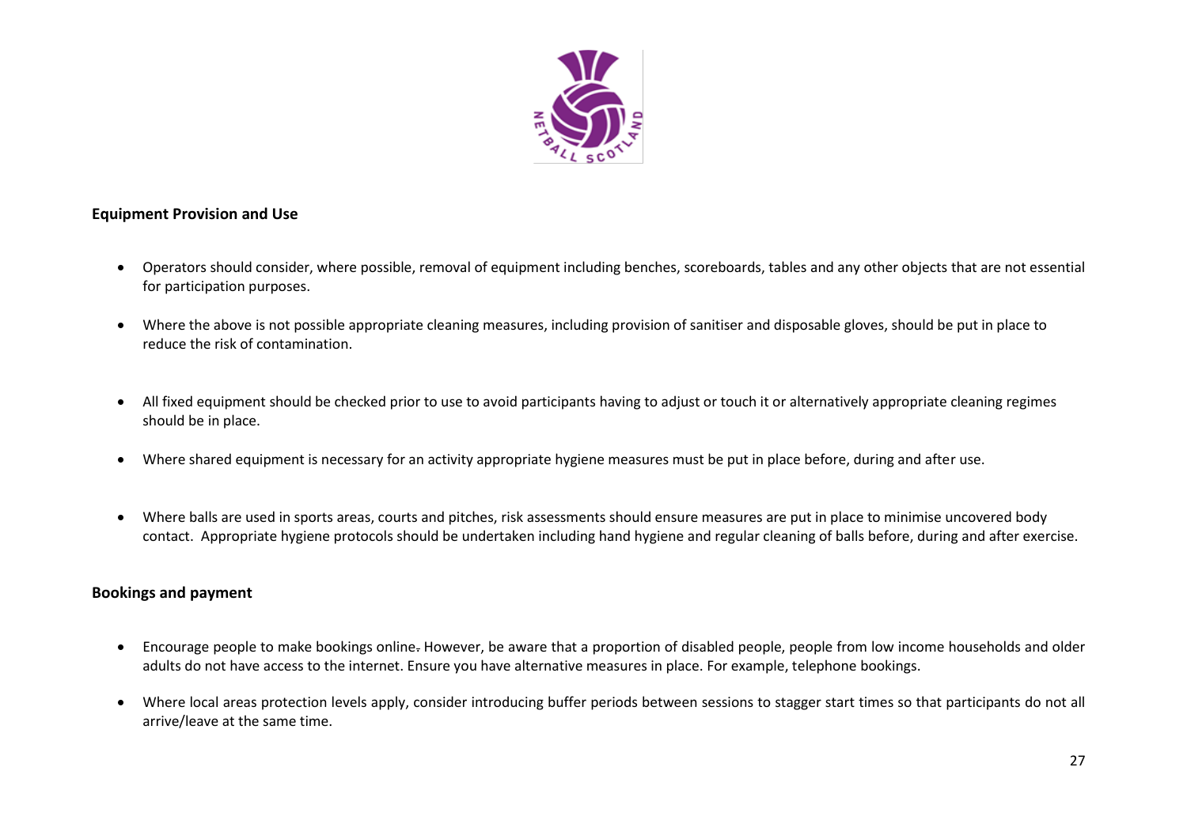

#### <span id="page-26-0"></span>**Equipment Provision and Use**

- Operators should consider, where possible, removal of equipment including benches, scoreboards, tables and any other objects that are not essential for participation purposes.
- Where the above is not possible appropriate cleaning measures, including provision of sanitiser and disposable gloves, should be put in place to reduce the risk of contamination.
- All fixed equipment should be checked prior to use to avoid participants having to adjust or touch it or alternatively appropriate cleaning regimes should be in place.
- Where shared equipment is necessary for an activity appropriate hygiene measures must be put in place before, during and after use.
- Where balls are used in sports areas, courts and pitches, risk assessments should ensure measures are put in place to minimise uncovered body contact. Appropriate hygiene protocols should be undertaken including hand hygiene and regular cleaning of balls before, during and after exercise.

#### <span id="page-26-1"></span>**Bookings and payment**

- Encourage people to make bookings online. However, be aware that a proportion of disabled people, people from low income households and older adults do not have access to the internet. Ensure you have alternative measures in place. For example, telephone bookings.
- Where local areas protection levels apply, consider introducing buffer periods between sessions to stagger start times so that participants do not all arrive/leave at the same time.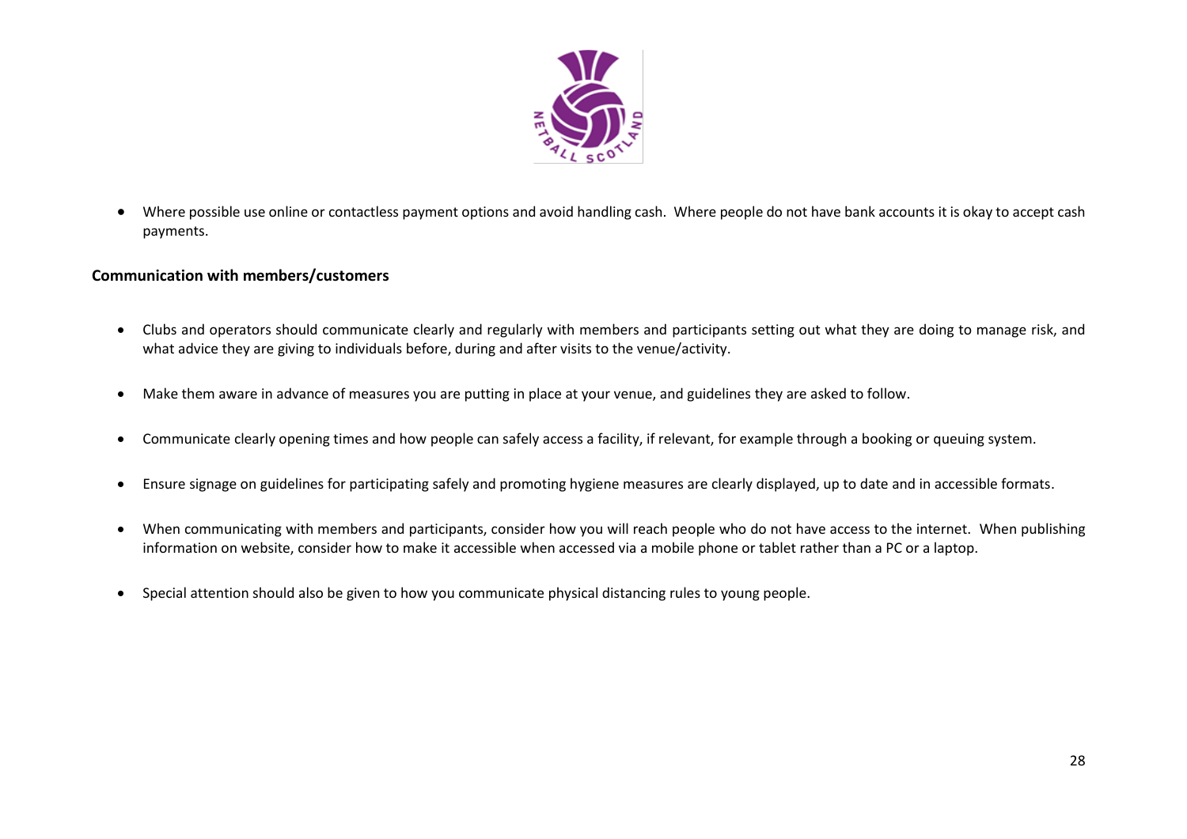

• Where possible use online or contactless payment options and avoid handling cash. Where people do not have bank accounts it is okay to accept cash payments.

### <span id="page-27-0"></span>**Communication with members/customers**

- Clubs and operators should communicate clearly and regularly with members and participants setting out what they are doing to manage risk, and what advice they are giving to individuals before, during and after visits to the venue/activity.
- Make them aware in advance of measures you are putting in place at your venue, and guidelines they are asked to follow.
- Communicate clearly opening times and how people can safely access a facility, if relevant, for example through a booking or queuing system.
- Ensure signage on guidelines for participating safely and promoting hygiene measures are clearly displayed, up to date and in accessible formats.
- When communicating with members and participants, consider how you will reach people who do not have access to the internet. When publishing information on website, consider how to make it accessible when accessed via a mobile phone or tablet rather than a PC or a laptop.
- Special attention should also be given to how you communicate physical distancing rules to young people.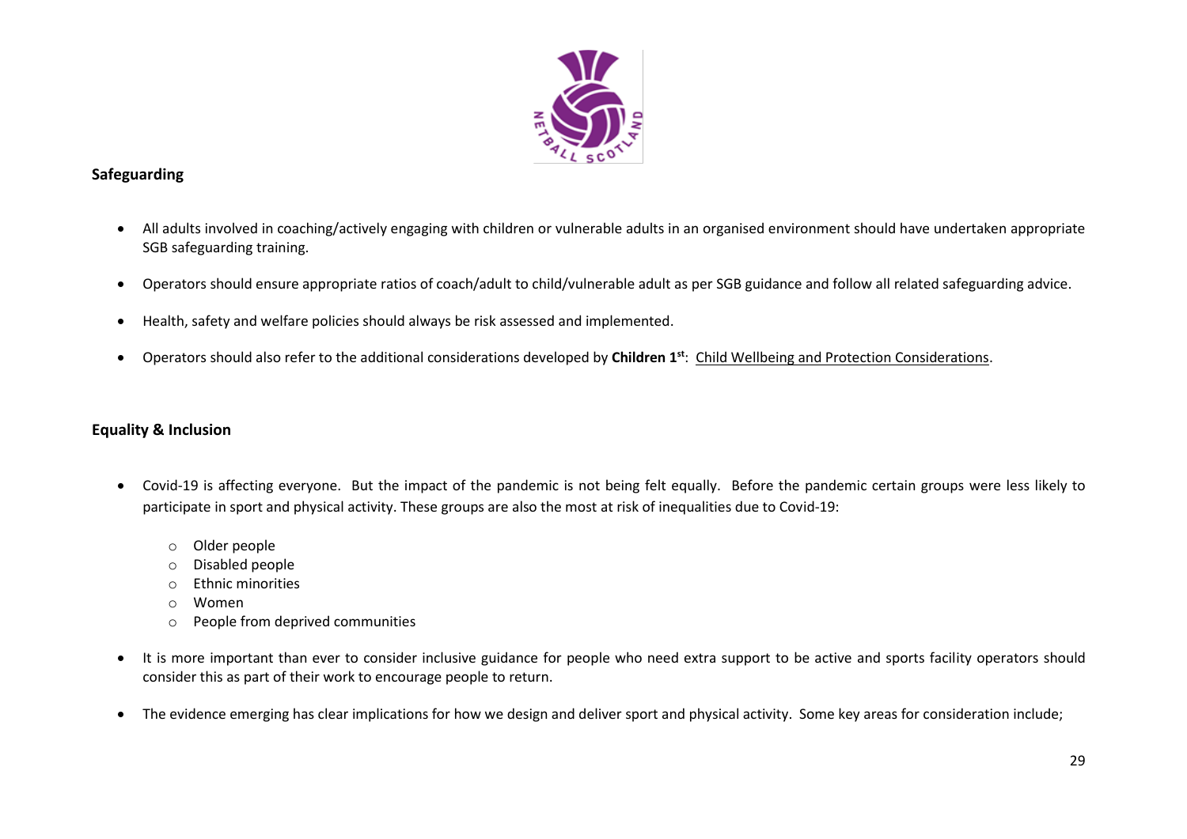

# <span id="page-28-0"></span>**Safeguarding**

- All adults involved in coaching/actively engaging with children or vulnerable adults in an organised environment should have undertaken appropriate SGB safeguarding training.
- Operators should ensure appropriate ratios of coach/adult to child/vulnerable adult as per SGB guidance and follow all related safeguarding advice.
- Health, safety and welfare policies should always be risk assessed and implemented.
- Operators should also refer to the additional considerations developed by **Children 1st**: [Child Wellbeing and Protection Considerations.](http://www.sportscotland.org.uk/media/5774/cyp-return-to-sport-after-covid-19.pdf)

# <span id="page-28-1"></span>**Equality & Inclusion**

- Covid-19 is affecting everyone. But the impact of the pandemic is not being felt equally. Before the pandemic certain groups were less likely to participate in sport and physical activity. These groups are also the most at risk of inequalities due to Covid-19:
	- o Older people
	- o Disabled people
	- o Ethnic minorities
	- o Women
	- o People from deprived communities
- It is more important than ever to consider inclusive guidance for people who need extra support to be active and sports facility operators should consider this as part of their work to encourage people to return.
- The evidence emerging has clear implications for how we design and deliver sport and physical activity. Some key areas for consideration include;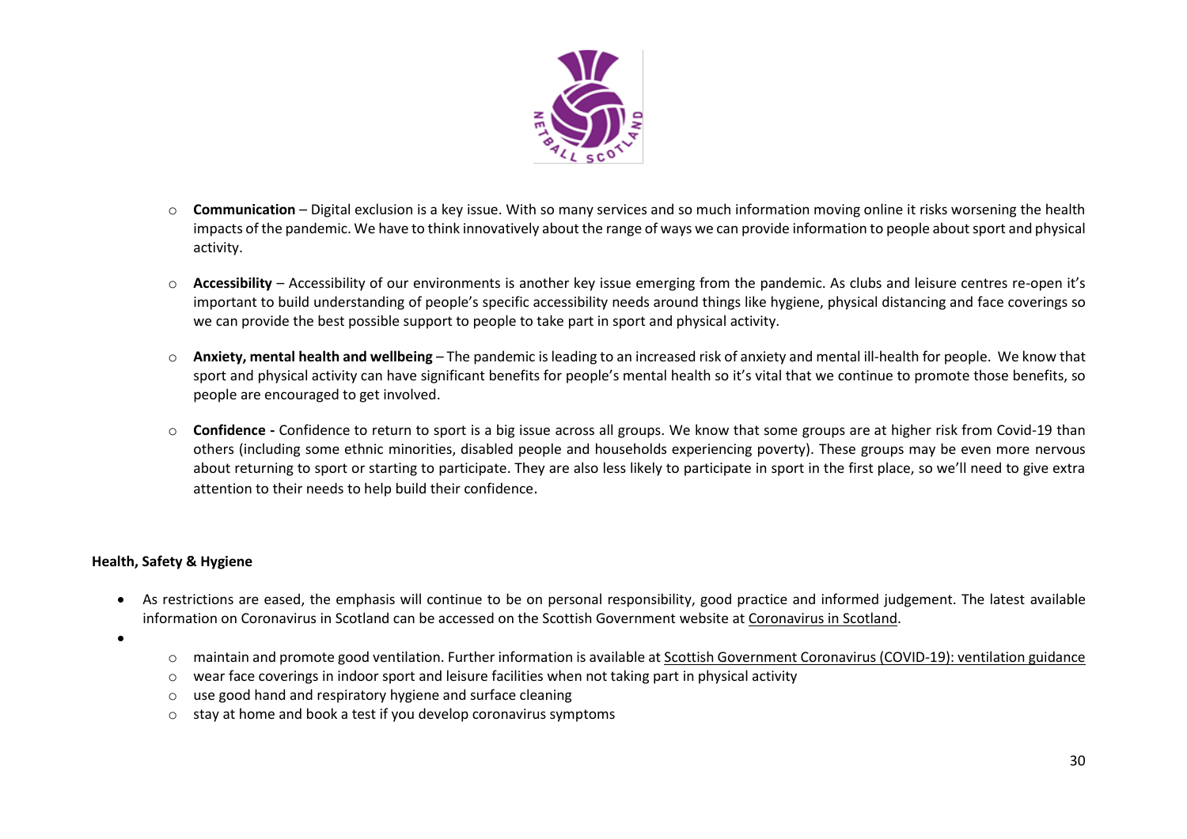

- o **Communication** Digital exclusion is a key issue. With so many services and so much information moving online it risks worsening the health impacts of the pandemic. We have to think innovatively about the range of ways we can provide information to people about sport and physical activity.
- o **Accessibility** Accessibility of our environments is another key issue emerging from the pandemic. As clubs and leisure centres re-open it's important to build understanding of people's specific accessibility needs around things like hygiene, physical distancing and face coverings so we can provide the best possible support to people to take part in sport and physical activity.
- o **Anxiety, mental health and wellbeing** The pandemic is leading to an increased risk of anxiety and mental ill-health for people. We know that sport and physical activity can have significant benefits for people's mental health so it's vital that we continue to promote those benefits, so people are encouraged to get involved.
- o **Confidence -** Confidence to return to sport is a big issue across all groups. We know that some groups are at higher risk from Covid-19 than others (including some ethnic minorities, disabled people and households experiencing poverty). These groups may be even more nervous about returning to sport or starting to participate. They are also less likely to participate in sport in the first place, so we'll need to give extra attention to their needs to help build their confidence.

#### **Health, Safety & Hygiene**

- As restrictions are eased, the emphasis will continue to be on personal responsibility, good practice and informed judgement. The latest available information on Coronavirus in Scotland can be accessed on the Scottish Government website at [Coronavirus in Scotland.](https://www.gov.scot/coronavirus-covid-19/)
- •
- o maintain and promote good ventilation. Further information is available at Scottish Government [Coronavirus \(COVID-19\): ventilation guidance](https://www.gov.scot/publications/coronavirus-covid-19-ventilation-guidance/pages/non-domestic-or-commercial-settings/)
- $\circ$  wear face coverings in indoor sport and leisure facilities when not taking part in physical activity
- o use good hand and respiratory hygiene and surface cleaning
- o stay at home and book a test if you develop coronavirus symptoms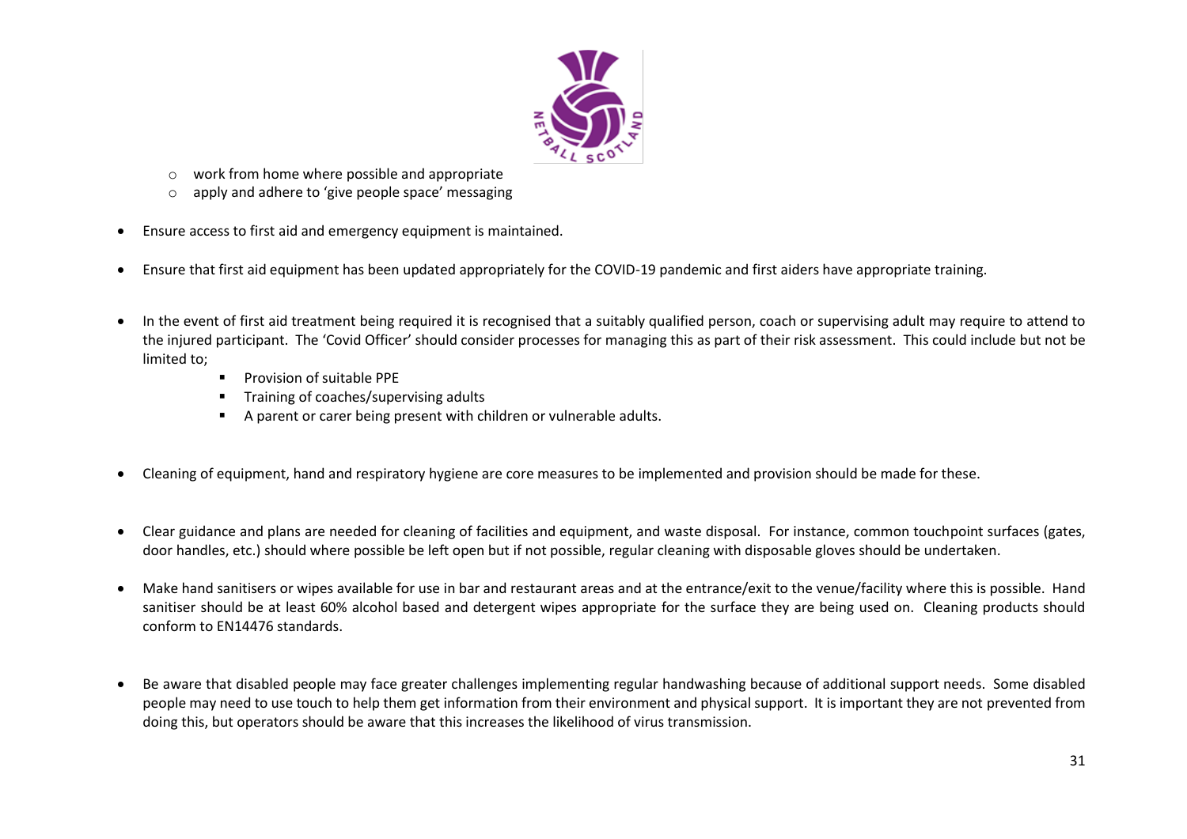

- o work from home where possible and appropriate
- o apply and adhere to 'give people space' messaging
- Ensure access to first aid and emergency equipment is maintained.
- Ensure that first aid equipment has been updated appropriately for the COVID-19 pandemic and first aiders have appropriate training.
- In the event of first aid treatment being required it is recognised that a suitably qualified person, coach or supervising adult may require to attend to the injured participant. The 'Covid Officer' should consider processes for managing this as part of their risk assessment. This could include but not be limited to;
	- Provision of suitable PPE
	- Training of coaches/supervising adults
	- A parent or carer being present with children or vulnerable adults.
- Cleaning of equipment, hand and respiratory hygiene are core measures to be implemented and provision should be made for these.
- Clear guidance and plans are needed for cleaning of facilities and equipment, and waste disposal. For instance, common touchpoint surfaces (gates, door handles, etc.) should where possible be left open but if not possible, regular cleaning with disposable gloves should be undertaken.
- Make hand sanitisers or wipes available for use in bar and restaurant areas and at the entrance/exit to the venue/facility where this is possible. Hand sanitiser should be at least 60% alcohol based and detergent wipes appropriate for the surface they are being used on. Cleaning products should conform to EN14476 standards.
- Be aware that disabled people may face greater challenges implementing regular handwashing because of additional support needs. Some disabled people may need to use touch to help them get information from their environment and physical support. It is important they are not prevented from doing this, but operators should be aware that this increases the likelihood of virus transmission.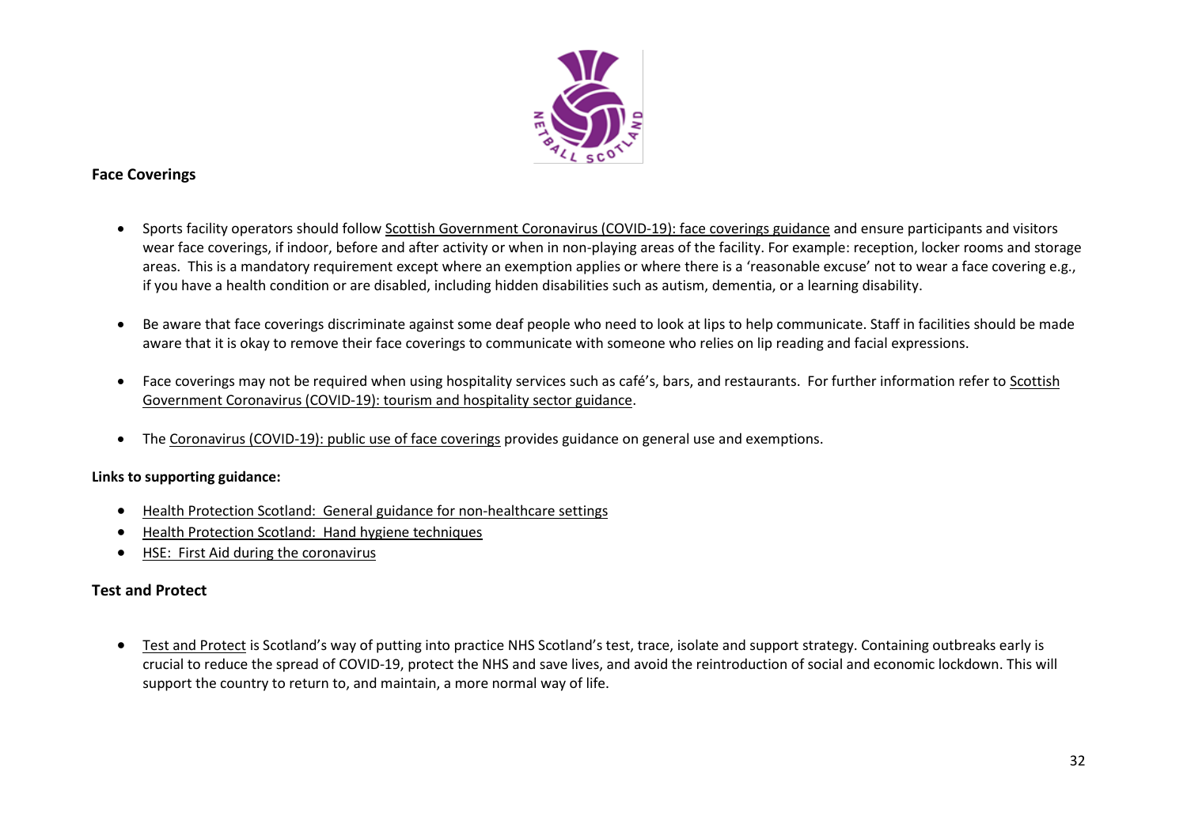

# <span id="page-31-0"></span>**Face Coverings**

- Sports facility operators should follow [Scottish Government Coronavirus \(COVID-19\): face coverings guidance](https://www.gov.scot/publications/coronavirus-covid-19-public-use-of-face-coverings/) and ensure participants and visitors wear face coverings, if indoor, before and after activity or when in non-playing areas of the facility. For example: reception, locker rooms and storage areas. This is a mandatory requirement except where an exemption applies or where there is a 'reasonable excuse' not to wear a face covering e.g., if you have a health condition or are disabled, including hidden disabilities such as autism, dementia, or a learning disability.
- Be aware that face coverings discriminate against some deaf people who need to look at lips to help communicate. Staff in facilities should be made aware that it is okay to remove their face coverings to communicate with someone who relies on lip reading and facial expressions.
- Face coverings may not be required when using hospitality services such as café's, bars, and restaurants. For further information refer to [Scottish](http://www.gov.scot/publications/coronavirus-covid-19-tourism-and-hospitality-sector-guidance/pages/hospitality-statutory-guidance/)  [Government Coronavirus \(COVID-19\): tourism and hospitality sector guidance.](http://www.gov.scot/publications/coronavirus-covid-19-tourism-and-hospitality-sector-guidance/pages/hospitality-statutory-guidance/)
- The [Coronavirus \(COVID-19\): public use of face coverings](https://www.gov.scot/publications/coronavirus-covid-19-phase-3-staying-safe-and-protecting-others/pages/face-coverings/) provides guidance on general use and exemptions.

#### **Links to supporting guidance:**

- [Health Protection Scotland: General guidance for non-healthcare settings](http://www.hps.scot.nhs.uk/web-resources-container/covid-19-guidance-for-non-healthcare-settings/)
- [Health Protection Scotland: Hand hygiene techniques](http://www.hps.scot.nhs.uk/a-to-z-of-topics/hand-hygiene/)
- [HSE: First Aid during the coronavirus](http://www.hse.gov.uk/coronavirus/first-aid-and-medicals/first-aid-certificate-coronavirus.htm)

#### <span id="page-31-1"></span>**Test and Protect**

• [Test and Protect](https://www.nhsinform.scot/campaigns/test-and-protect) is Scotland's way of putting into practice NHS Scotland's test, trace, isolate and support strategy. Containing outbreaks early is crucial to reduce the spread of COVID-19, protect the NHS and save lives, and avoid the reintroduction of social and economic lockdown. This will support the country to return to, and maintain, a more normal way of life.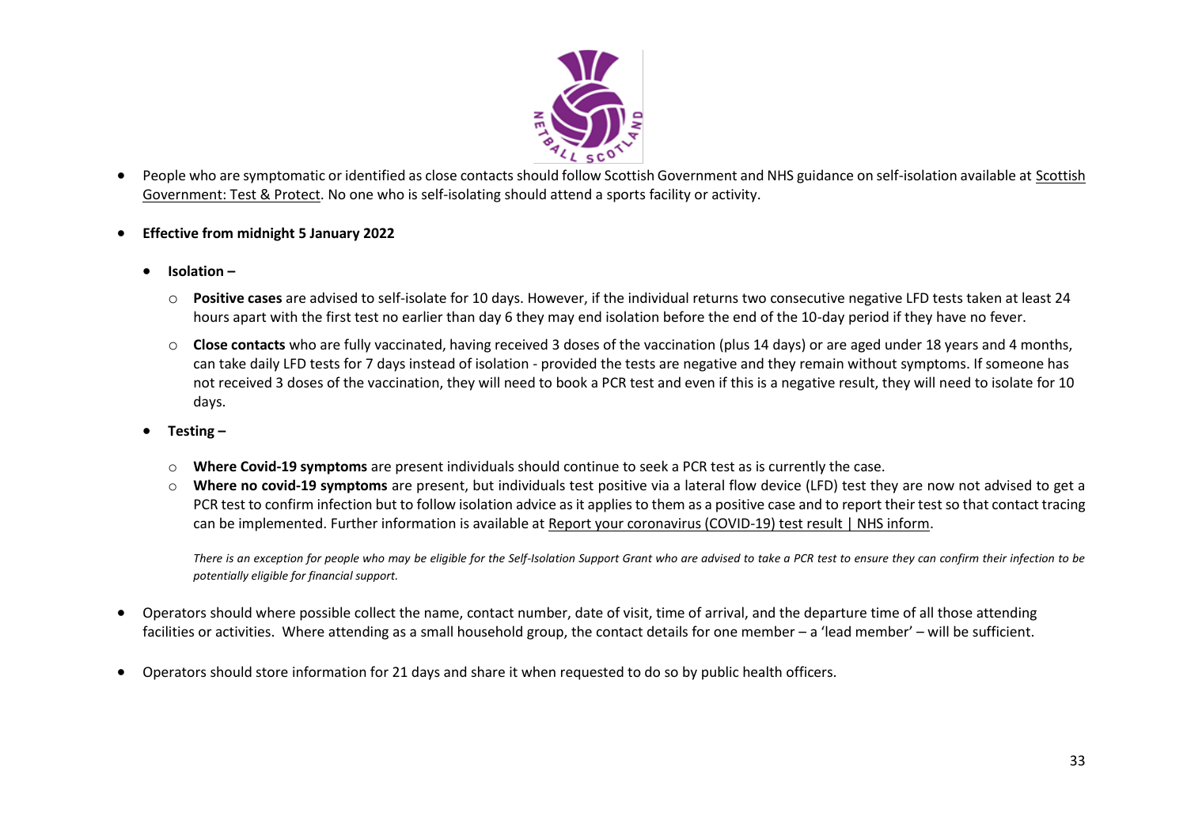

- People who are symptomatic or identified as close contacts should follow Scottish Government and NHS guidance on self-isolation available at [Scottish](https://www.gov.scot/publications/coronavirus-covid-19-test-and-protect/)  [Government: Test & Protect.](https://www.gov.scot/publications/coronavirus-covid-19-test-and-protect/) No one who is self-isolating should attend a sports facility or activity.
- **Effective from midnight 5 January 2022**
	- **Isolation –**
		- o **Positive cases** are advised to self-isolate for 10 days. However, if the individual returns two consecutive negative LFD tests taken at least 24 hours apart with the first test no earlier than day 6 they may end isolation before the end of the 10-day period if they have no fever.
		- o **Close contacts** who are fully vaccinated, having received 3 doses of the vaccination (plus 14 days) or are aged under 18 years and 4 months, can take daily LFD tests for 7 days instead of isolation - provided the tests are negative and they remain without symptoms. If someone has not received 3 doses of the vaccination, they will need to book a PCR test and even if this is a negative result, they will need to isolate for 10 days.
	- **Testing –**
		- o **Where Covid-19 symptoms** are present individuals should continue to seek a PCR test as is currently the case.
		- o **Where no covid-19 symptoms** are present, but individuals test positive via a lateral flow device (LFD) test they are now not advised to get a PCR test to confirm infection but to follow isolation advice as it applies to them as a positive case and to report their test so that contact tracing can be implemented. Further information is available at [Report your coronavirus \(COVID-19\) test result | NHS inform](https://www.nhsinform.scot/campaigns/coronavirus-covid-19-report-your-test-result).

*There is an exception for people who may be eligible for the Self-Isolation Support Grant who are advised to take a PCR test to ensure they can confirm their infection to be potentially eligible for financial support.*

- Operators should where possible collect the name, contact number, date of visit, time of arrival, and the departure time of all those attending facilities or activities. Where attending as a small household group, the contact details for one member – a 'lead member' – will be sufficient.
- Operators should store information for 21 days and share it when requested to do so by public health officers.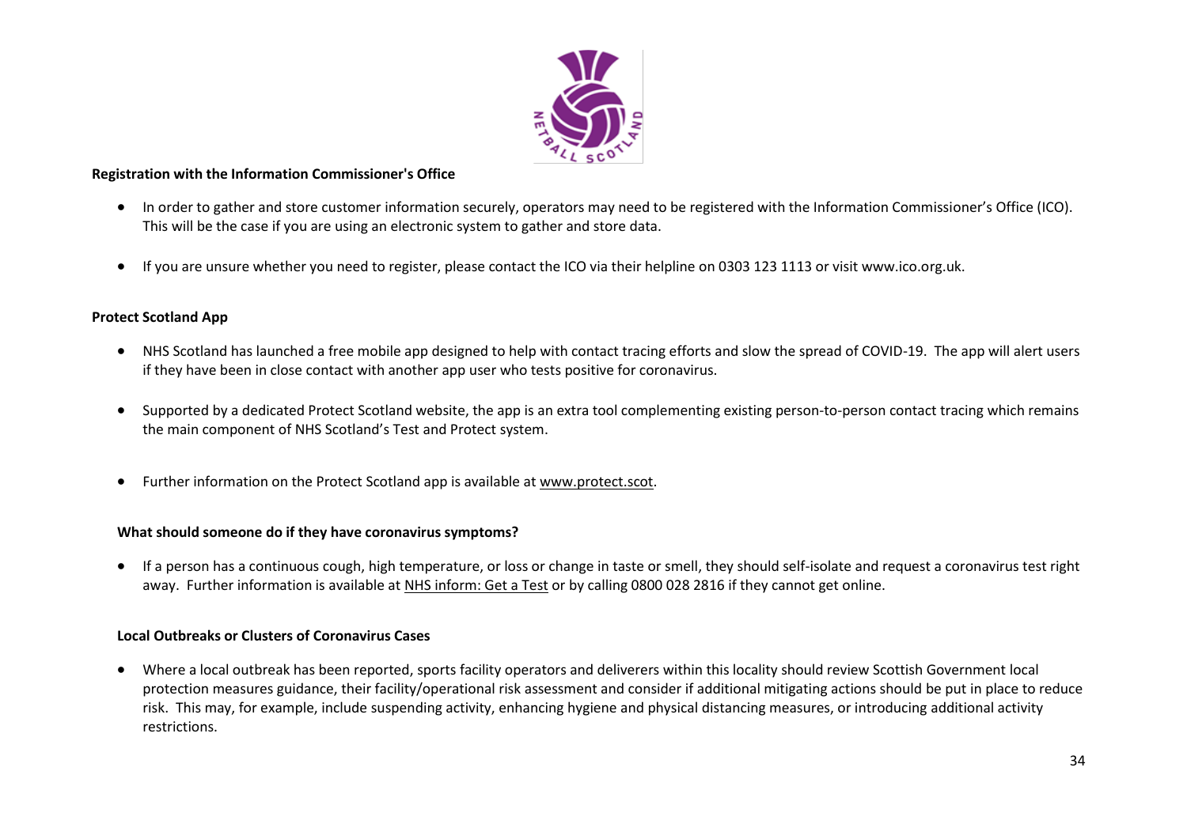

#### **Registration with the Information Commissioner's Office**

- In order to gather and store customer information securely, operators may need to be registered with the Information Commissioner's Office (ICO). This will be the case if you are using an electronic system to gather and store data.
- If you are unsure whether you need to register, please contact the ICO via their helpline on 0303 123 1113 or visit www.ico.org.uk.

#### **Protect Scotland App**

- NHS Scotland has launched a free mobile app designed to help with contact tracing efforts and slow the spread of COVID-19. The app will alert users if they have been in close contact with another app user who tests positive for coronavirus.
- Supported by a dedicated Protect Scotland website, the app is an extra tool complementing existing person-to-person contact tracing which remains the main component of NHS Scotland's Test and Protect system.
- Further information on the Protect Scotland app is available a[t www.protect.scot.](https://www.protect.scot/)

#### **What should someone do if they have coronavirus symptoms?**

• If a person has a continuous cough, high temperature, or loss or change in taste or smell, they should self-isolate and request a coronavirus test right away. Further information is available a[t NHS inform: Get a Test](https://www.nhsinform.scot/illnesses-and-conditions/infections-and-poisoning/coronavirus-covid-19/test-and-protect/coronavirus-covid-19-get-a-test-if-you-have-symptoms) or by calling 0800 028 2816 if they cannot get online.

#### **Local Outbreaks or Clusters of Coronavirus Cases**

• Where a local outbreak has been reported, sports facility operators and deliverers within this locality should review Scottish Government local protection measures guidance, their facility/operational risk assessment and consider if additional mitigating actions should be put in place to reduce risk. This may, for example, include suspending activity, enhancing hygiene and physical distancing measures, or introducing additional activity restrictions.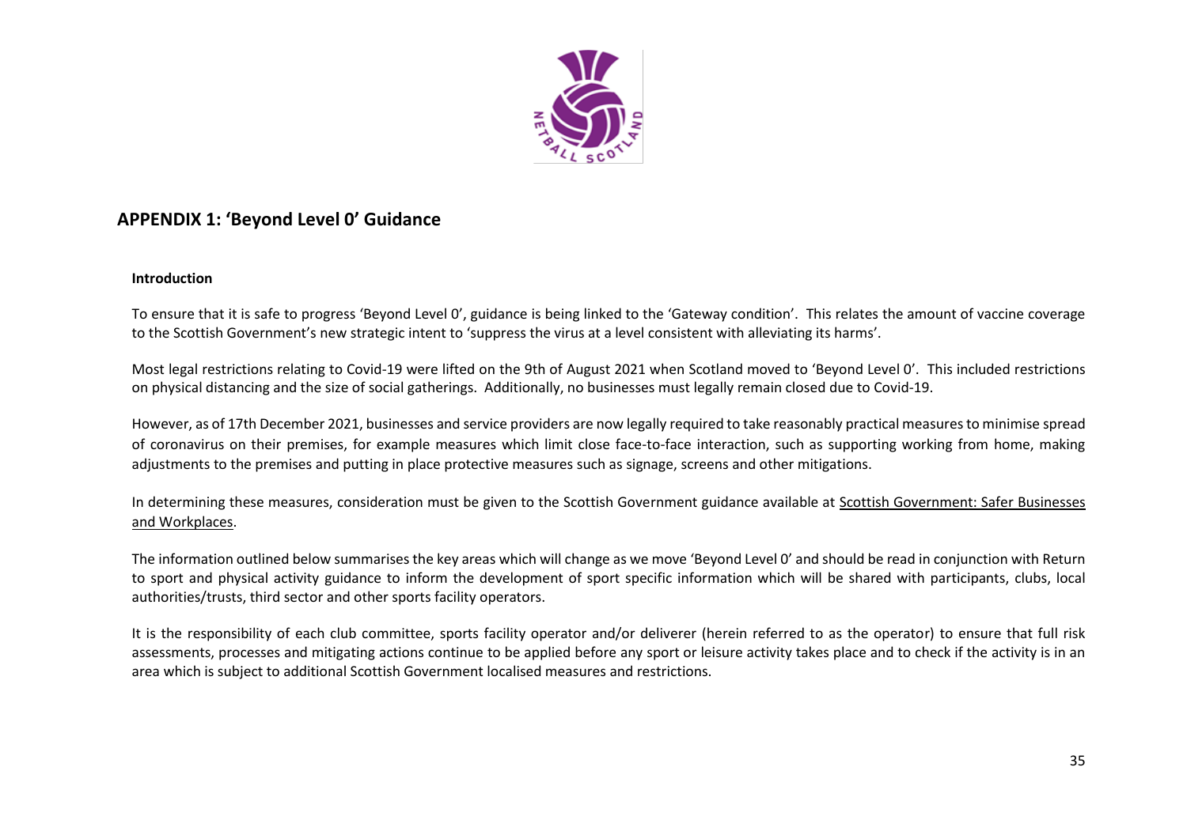

# <span id="page-34-0"></span>**APPENDIX 1: 'Beyond Level 0' Guidance**

#### **Introduction**

To ensure that it is safe to progress 'Beyond Level 0', guidance is being linked to the 'Gateway condition'. This relates the amount of vaccine coverage to the Scottish Government's new strategic intent to 'suppress the virus at a level consistent with alleviating its harms'.

Most legal restrictions relating to Covid-19 were lifted on the 9th of August 2021 when Scotland moved to 'Beyond Level 0'. This included restrictions on physical distancing and the size of social gatherings. Additionally, no businesses must legally remain closed due to Covid-19.

However, as of 17th December 2021, businesses and service providers are now legally required to take reasonably practical measures to minimise spread of coronavirus on their premises, for example measures which limit close face-to-face interaction, such as supporting working from home, making adjustments to the premises and putting in place protective measures such as signage, screens and other mitigations.

In determining these measures, consideration must be given to the Scottish Government guidance available at [Scottish Government: Safer Businesses](https://www.gov.scot/publications/coronavirus-covid-19-general-guidance-for-safer-workplaces/)  [and Workplaces.](https://www.gov.scot/publications/coronavirus-covid-19-general-guidance-for-safer-workplaces/)

The information outlined below summarises the key areas which will change as we move 'Beyond Level 0' and should be read in conjunction with Return to sport and physical activity guidance to inform the development of sport specific information which will be shared with participants, clubs, local authorities/trusts, third sector and other sports facility operators.

It is the responsibility of each club committee, sports facility operator and/or deliverer (herein referred to as the operator) to ensure that full risk assessments, processes and mitigating actions continue to be applied before any sport or leisure activity takes place and to check if the activity is in an area which is subject to additional Scottish Government localised measures and restrictions.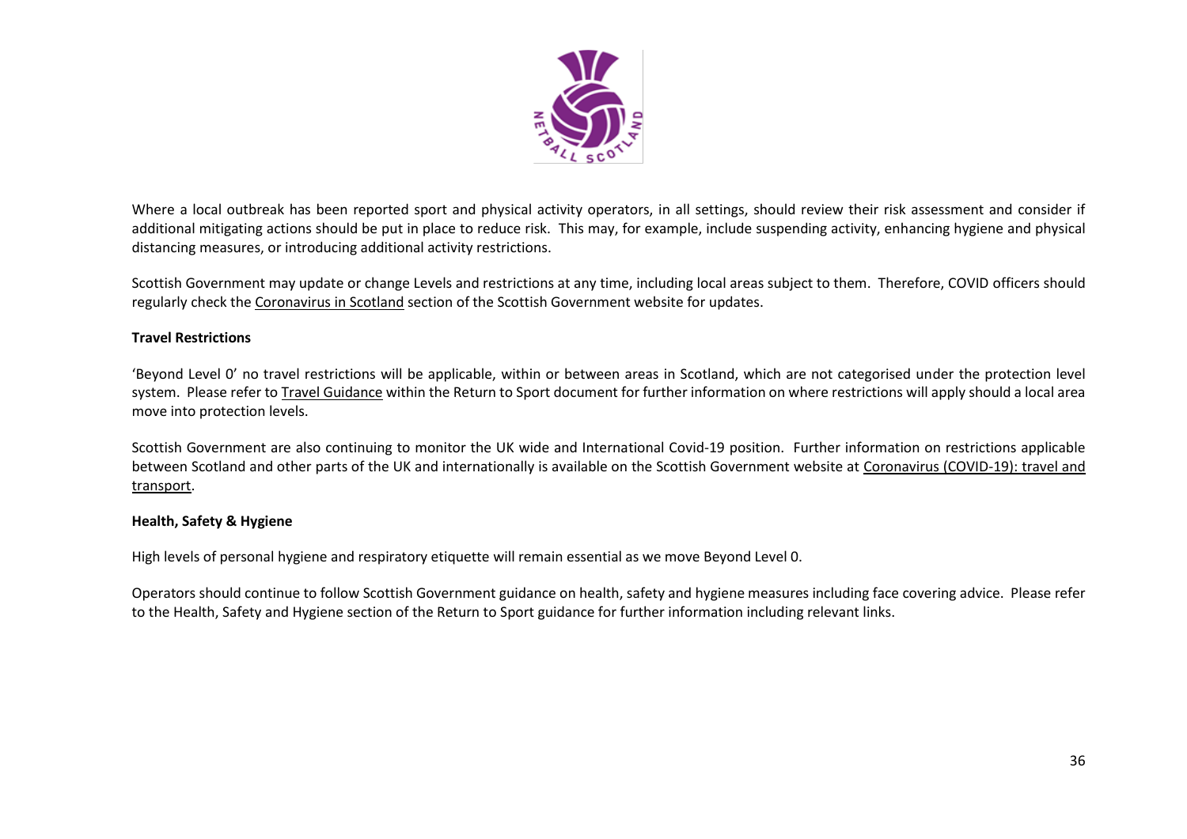

Where a local outbreak has been reported sport and physical activity operators, in all settings, should review their risk assessment and consider if additional mitigating actions should be put in place to reduce risk. This may, for example, include suspending activity, enhancing hygiene and physical distancing measures, or introducing additional activity restrictions.

Scottish Government may update or change Levels and restrictions at any time, including local areas subject to them. Therefore, COVID officers should regularly check the [Coronavirus in Scotland](https://www.gov.scot/coronavirus-covid-19/) section of the Scottish Government website for updates.

#### **Travel Restrictions**

'Beyond Level 0' no travel restrictions will be applicable, within or between areas in Scotland, which are not categorised under the protection level system. Please refer t[o Travel Guidance](https://www.gov.scot/publications/coronavirus-covid-19-guidance-on-travel-and-transport/) within the Return to Sport document for further information on where restrictions will apply should a local area move into protection levels.

Scottish Government are also continuing to monitor the UK wide and International Covid-19 position. Further information on restrictions applicable between Scotland and other parts of the UK and internationally is available on the Scottish Government website at [Coronavirus \(COVID-19\): travel and](https://www.gov.scot/publications/coronavirus-covid-19-guidance-on-travel-and-transport/)  [transport.](https://www.gov.scot/publications/coronavirus-covid-19-guidance-on-travel-and-transport/)

#### **Health, Safety & Hygiene**

High levels of personal hygiene and respiratory etiquette will remain essential as we move Beyond Level 0.

Operators should continue to follow Scottish Government guidance on health, safety and hygiene measures including face covering advice. Please refer to the Health, Safety and Hygiene section of the Return to Sport guidance for further information including relevant links.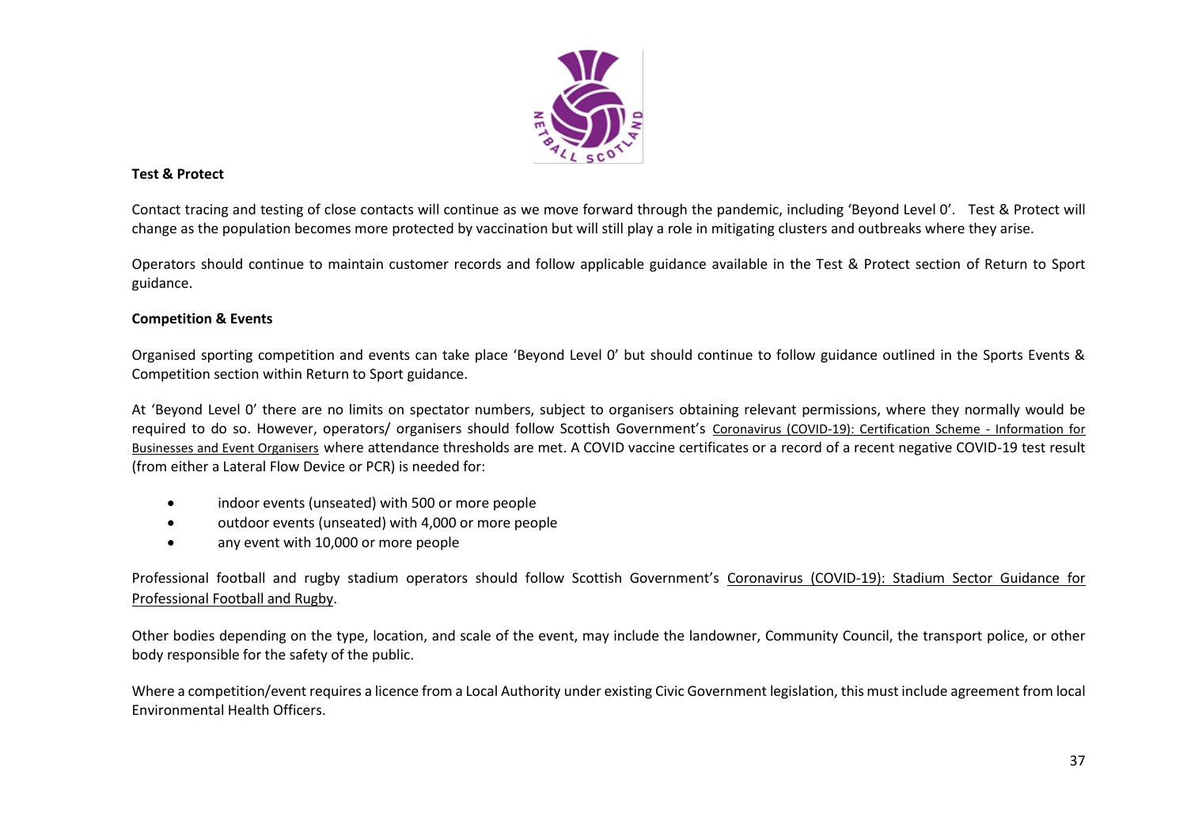

#### **Test & Protect**

Contact tracing and testing of close contacts will continue as we move forward through the pandemic, including 'Beyond Level 0'. Test & Protect will change as the population becomes more protected by vaccination but will still play a role in mitigating clusters and outbreaks where they arise.

Operators should continue to maintain customer records and follow applicable guidance available in the Test & Protect section of Return to Sport guidance.

#### **Competition & Events**

Organised sporting competition and events can take place 'Beyond Level 0' but should continue to follow guidance outlined in the Sports Events & Competition section within Return to Sport guidance.

At 'Beyond Level 0' there are no limits on spectator numbers, subject to organisers obtaining relevant permissions, where they normally would be required to do so. However, operators/ organisers should follow Scottish Government's [Coronavirus \(COVID-19\): Certification Scheme -](https://www.gov.scot/publications/coronavirus-covid-19-certification-scheme-businesses-event-organisers/) Information for [Businesses and Event Organisers](https://www.gov.scot/publications/coronavirus-covid-19-certification-scheme-businesses-event-organisers/) where attendance thresholds are met. A COVID vaccine certificates or a record of a recent negative COVID-19 test result (from either a Lateral Flow Device or PCR) is needed for:

- indoor events (unseated) with 500 or more people
- outdoor events (unseated) with 4,000 or more people
- any event with 10,000 or more people

Professional football and rugby stadium operators should follow Scottish Government's [Coronavirus \(COVID-19\): Stadium Sector Guidance for](https://www.gov.scot/publications/coronavirus-covid-19-stadium-sector-guidance-for-professional-football-and-rugby/)  [Professional Football and Rugby.](https://www.gov.scot/publications/coronavirus-covid-19-stadium-sector-guidance-for-professional-football-and-rugby/)

Other bodies depending on the type, location, and scale of the event, may include the landowner, Community Council, the transport police, or other body responsible for the safety of the public.

Where a competition/event requires a licence from a Local Authority under existing Civic Government legislation, this must include agreement from local Environmental Health Officers.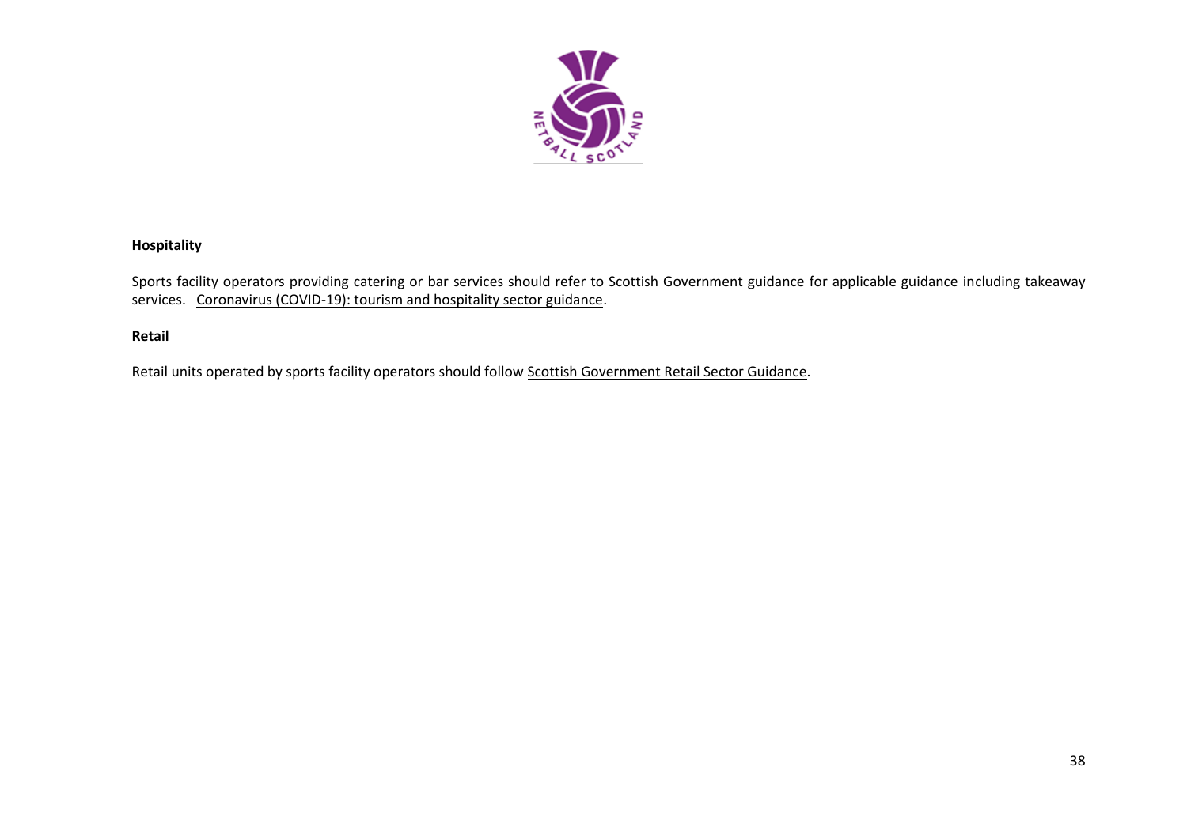

### **Hospitality**

Sports facility operators providing catering or bar services should refer to Scottish Government guidance for applicable guidance including takeaway services. [Coronavirus \(COVID-19\): tourism and hospitality sector guidance.](https://www.gov.scot/publications/coronavirus-covid-19-tourism-and-hospitality-sector-guidance/)

### **Retail**

Retail units operated by sports facility operators should follow [Scottish Government Retail Sector Guidance.](https://www.gov.scot/publications/coronavirus-covid-19-general-guidance-for-safer-workplaces/)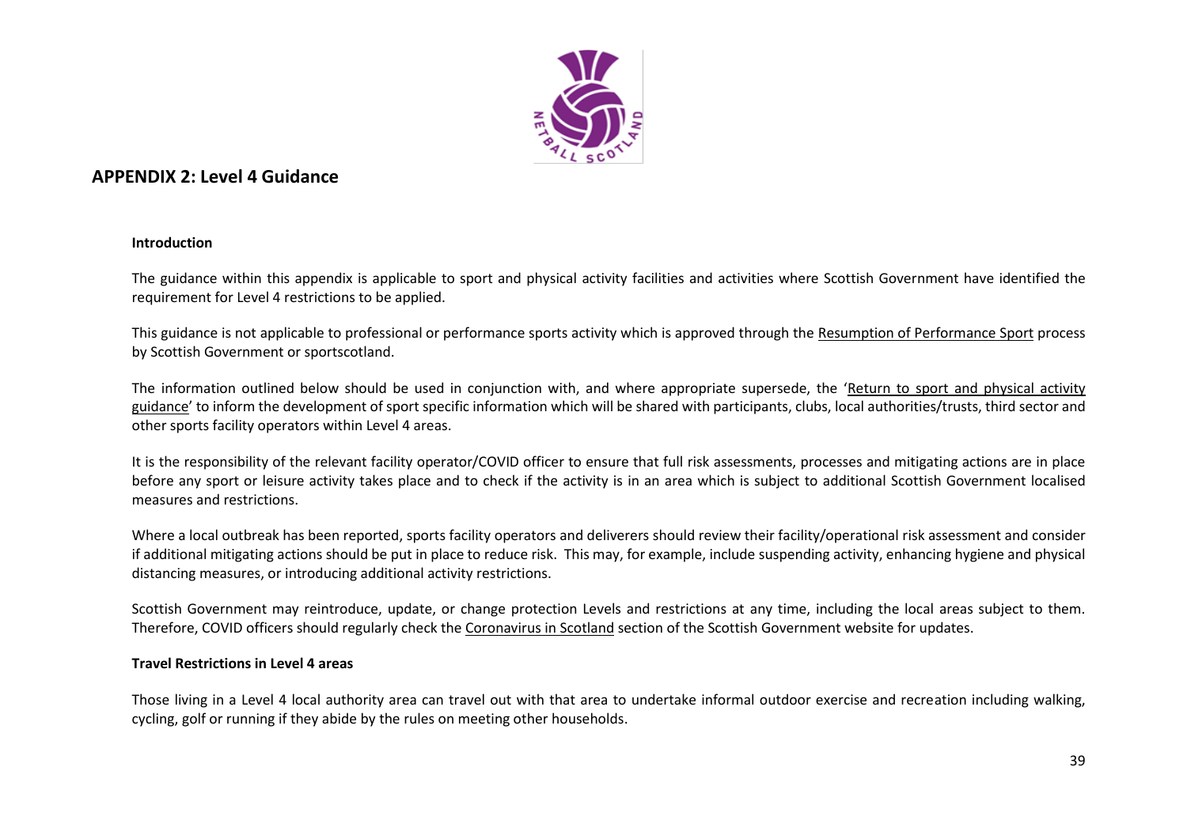

# **APPENDIX 2: Level 4 Guidance**

#### **Introduction**

The guidance within this appendix is applicable to sport and physical activity facilities and activities where Scottish Government have identified the requirement for Level 4 restrictions to be applied.

This guidance is not applicable to professional or performance sports activity which is approved through the [Resumption of Performance Sport](https://sportscotland.org.uk/covid-19/resumption-of-performance-sport-guidance/) process by Scottish Government or sportscotland.

The information outlined below should be used in conjunction with, and where appropriate supersede, the '[Return to sport and physical activity](#page-2-0)  [guidance](#page-2-0)' to inform the development of sport specific information which will be shared with participants, clubs, local authorities/trusts, third sector and other sports facility operators within Level 4 areas.

It is the responsibility of the relevant facility operator/COVID officer to ensure that full risk assessments, processes and mitigating actions are in place before any sport or leisure activity takes place and to check if the activity is in an area which is subject to additional Scottish Government localised measures and restrictions.

Where a local outbreak has been reported, sports facility operators and deliverers should review their facility/operational risk assessment and consider if additional mitigating actions should be put in place to reduce risk. This may, for example, include suspending activity, enhancing hygiene and physical distancing measures, or introducing additional activity restrictions.

Scottish Government may reintroduce, update, or change protection Levels and restrictions at any time, including the local areas subject to them. Therefore, COVID officers should regularly check the [Coronavirus in Scotland](https://www.gov.scot/coronavirus-covid-19/) section of the Scottish Government website for updates.

#### **Travel Restrictions in Level 4 areas**

Those living in a Level 4 local authority area can travel out with that area to undertake informal outdoor exercise and recreation including walking, cycling, golf or running if they abide by the rules on meeting other households.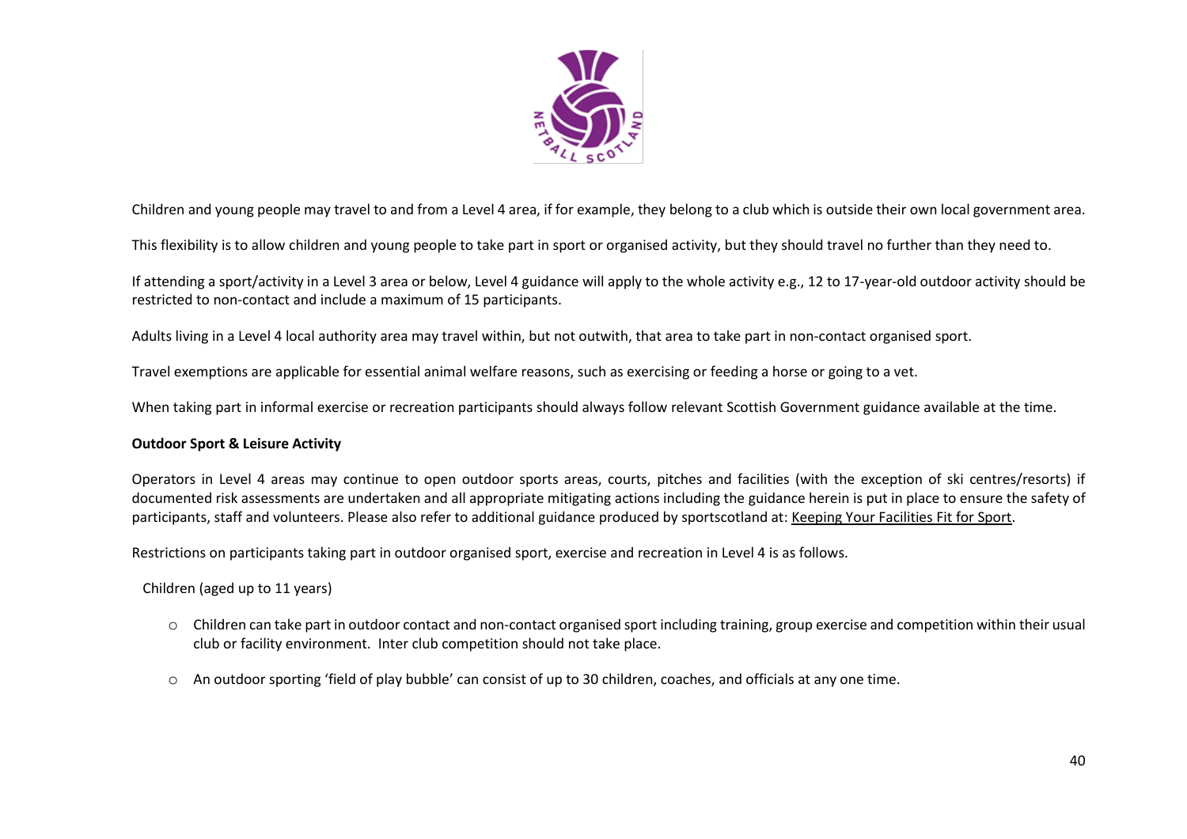

Children and young people may travel to and from a Level 4 area, if for example, they belong to a club which is outside their own local government area.

This flexibility is to allow children and young people to take part in sport or organised activity, but they should travel no further than they need to.

If attending a sport/activity in a Level 3 area or below, Level 4 guidance will apply to the whole activity e.g., 12 to 17-year-old outdoor activity should be restricted to non-contact and include a maximum of 15 participants.

Adults living in a Level 4 local authority area may travel within, but not outwith, that area to take part in non-contact organised sport.

Travel exemptions are applicable for essential animal welfare reasons, such as exercising or feeding a horse or going to a vet.

When taking part in informal exercise or recreation participants should always follow relevant Scottish Government guidance available at the time.

#### **Outdoor Sport & Leisure Activity**

Operators in Level 4 areas may continue to open outdoor sports areas, courts, pitches and facilities (with the exception of ski centres/resorts) if documented risk assessments are undertaken and all appropriate mitigating actions including the guidance herein is put in place to ensure the safety of participants, staff and volunteers. Please also refer to additional guidance produced by sportscotland at: [Keeping Your Facilities Fit for Sport.](https://sportscotland.org.uk/covid-19/archive/getting-your-facilities-fit-for-sport/)

Restrictions on participants taking part in outdoor organised sport, exercise and recreation in Level 4 is as follows.

Children (aged up to 11 years)

- o Children can take part in outdoor contact and non-contact organised sport including training, group exercise and competition within their usual club or facility environment. Inter club competition should not take place.
- o An outdoor sporting 'field of play bubble' can consist of up to 30 children, coaches, and officials at any one time.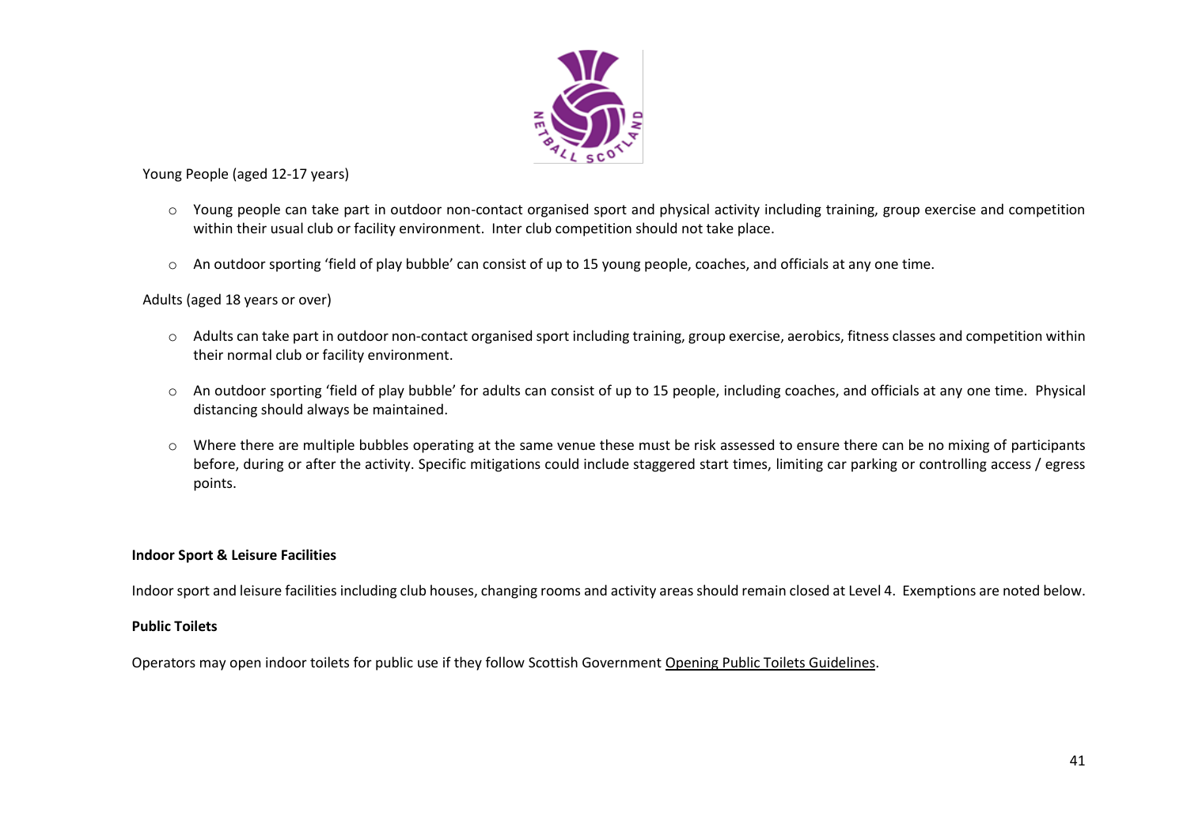

Young People (aged 12-17 years)

- o Young people can take part in outdoor non-contact organised sport and physical activity including training, group exercise and competition within their usual club or facility environment. Inter club competition should not take place.
- o An outdoor sporting 'field of play bubble' can consist of up to 15 young people, coaches, and officials at any one time.

#### Adults (aged 18 years or over)

- o Adults can take part in outdoor non-contact organised sport including training, group exercise, aerobics, fitness classes and competition within their normal club or facility environment.
- o An outdoor sporting 'field of play bubble' for adults can consist of up to 15 people, including coaches, and officials at any one time. Physical distancing should always be maintained.
- o Where there are multiple bubbles operating at the same venue these must be risk assessed to ensure there can be no mixing of participants before, during or after the activity. Specific mitigations could include staggered start times, limiting car parking or controlling access / egress points.

#### **Indoor Sport & Leisure Facilities**

Indoor sport and leisure facilities including club houses, changing rooms and activity areas should remain closed at Level 4. Exemptions are noted below.

#### **Public Toilets**

Operators may open indoor toilets for public use if they follow Scottish Government [Opening Public Toilets Guidelines.](https://protect-eu.mimecast.com/s/aBXuCNx63fxoygsmfSPz?domain=gov.scot/)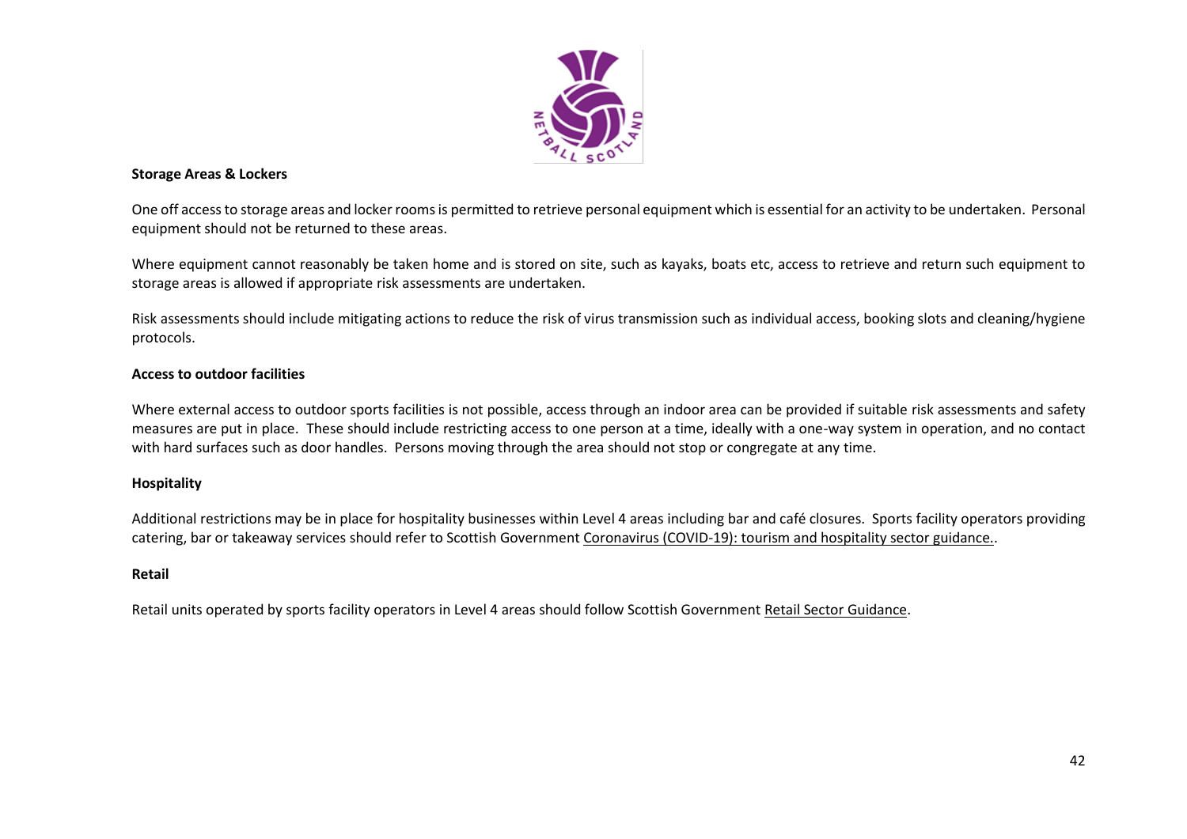

#### **Storage Areas & Lockers**

One off access to storage areas and locker rooms is permitted to retrieve personal equipment which is essential for an activity to be undertaken. Personal equipment should not be returned to these areas.

Where equipment cannot reasonably be taken home and is stored on site, such as kayaks, boats etc, access to retrieve and return such equipment to storage areas is allowed if appropriate risk assessments are undertaken.

Risk assessments should include mitigating actions to reduce the risk of virus transmission such as individual access, booking slots and cleaning/hygiene protocols.

#### **Access to outdoor facilities**

Where external access to outdoor sports facilities is not possible, access through an indoor area can be provided if suitable risk assessments and safety measures are put in place. These should include restricting access to one person at a time, ideally with a one-way system in operation, and no contact with hard surfaces such as door handles. Persons moving through the area should not stop or congregate at any time.

#### **Hospitality**

Additional restrictions may be in place for hospitality businesses within Level 4 areas including bar and café closures. Sports facility operators providing catering, bar or takeaway services should refer to Scottish Government [Coronavirus \(COVID-19\): tourism and hospitality sector guidance..](http://www.gov.scot/publications/coronavirus-covid-19-tourism-and-hospitality-sector-guidance/pages/hospitality-statutory-guidance/)

#### **Retail**

Retail units operated by sports facility operators in Level 4 areas should follow Scottish Government [Retail Sector Guidance.](http://www.gov.scot/publications/coronavirus-covid-19-retail-sector-guidance/)